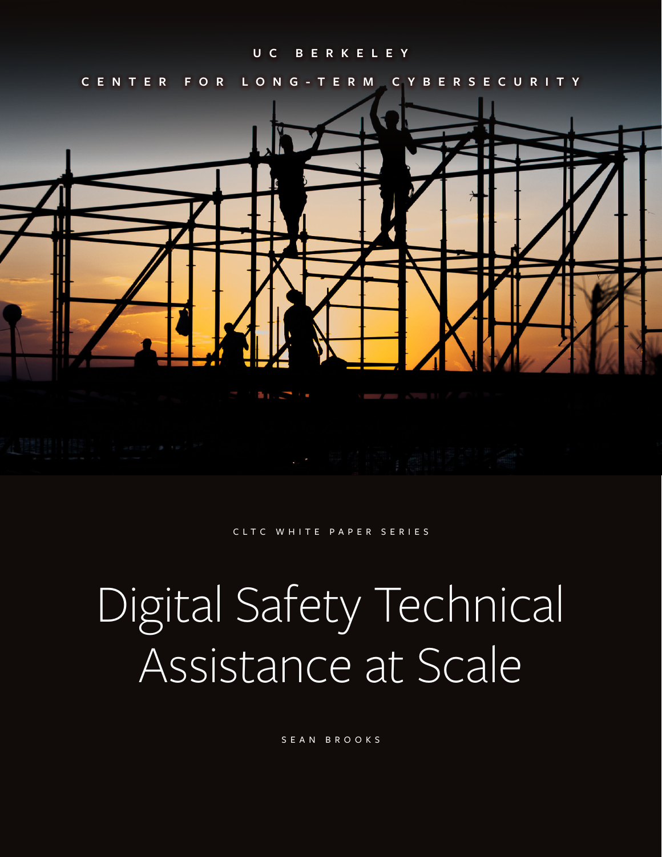#### **U C B E R K E L E Y**

**CENTER FOR LONG-TERM CYBERSECURITY**



CLTC WHITE PAPER SERIES

# Digital Safety Technical Assistance at Scale

SEAN BROOKS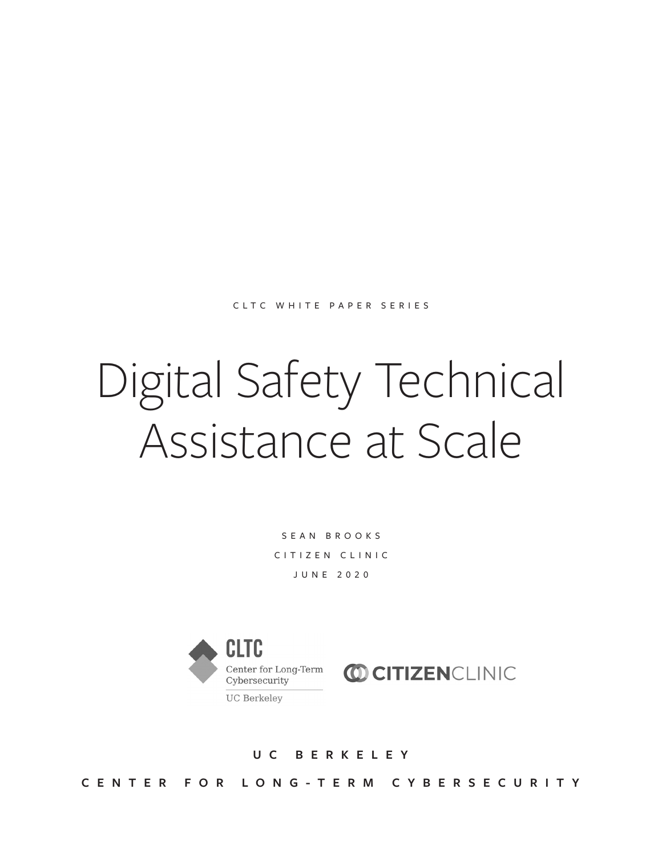CLTC WHITE PAPER SERIES

# Digital Safety Technical Assistance at Scale

SEAN BROOKS CITIZEN CLINIC JUNE 2020



**U C B E R K E L E Y C E N T E R F O R L O N G - T E R M C Y B E R S E C U R I T Y**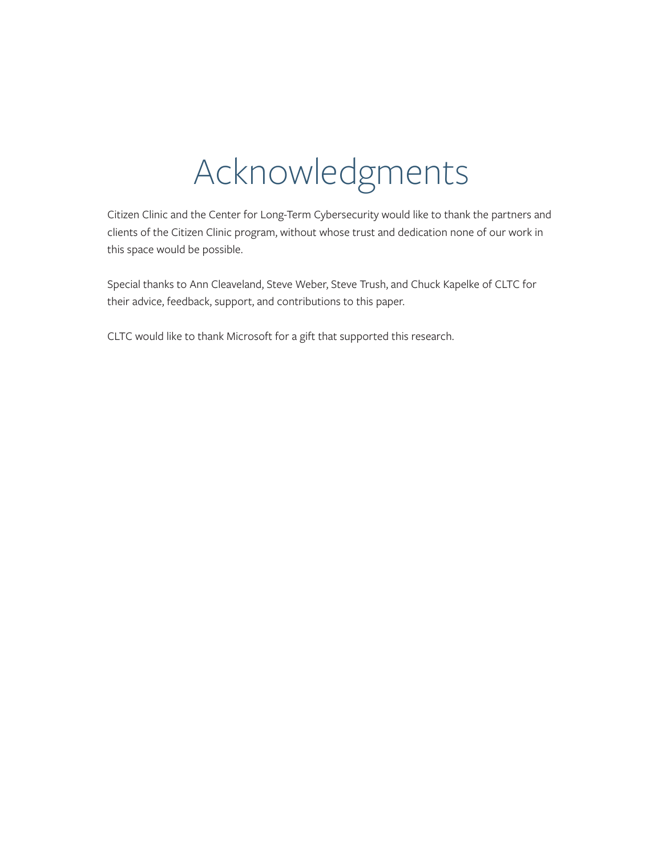# Acknowledgments

Citizen Clinic and the Center for Long-Term Cybersecurity would like to thank the partners and clients of the Citizen Clinic program, without whose trust and dedication none of our work in this space would be possible.

Special thanks to Ann Cleaveland, Steve Weber, Steve Trush, and Chuck Kapelke of CLTC for their advice, feedback, support, and contributions to this paper.

CLTC would like to thank Microsoft for a gift that supported this research.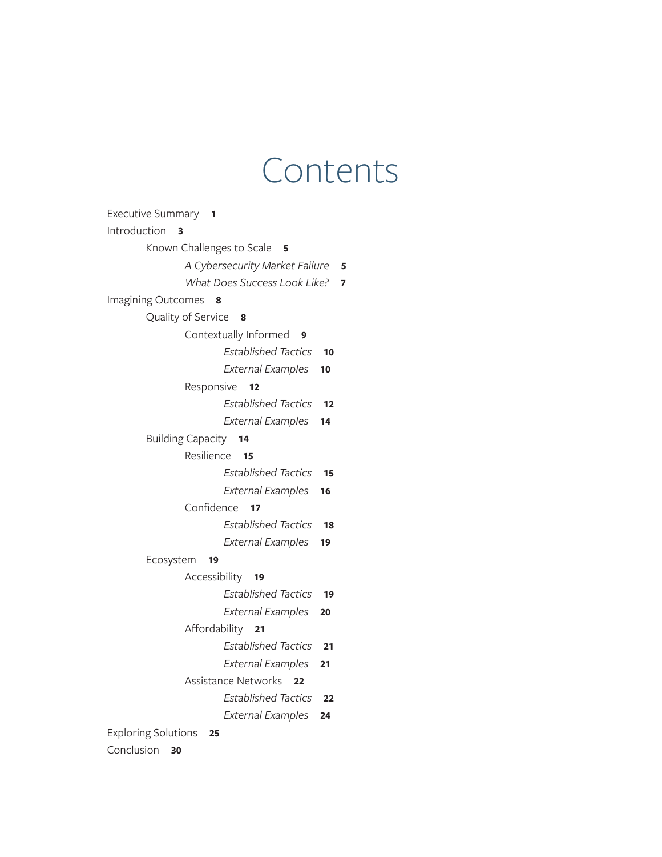## Contents

| Executive Summary 1                 |    |  |  |  |  |  |
|-------------------------------------|----|--|--|--|--|--|
| Introduction<br>3                   |    |  |  |  |  |  |
| Known Challenges to Scale<br>5      |    |  |  |  |  |  |
| A Cybersecurity Market Failure<br>5 |    |  |  |  |  |  |
| What Does Success Look Like?        | 7  |  |  |  |  |  |
| Imagining Outcomes<br>8             |    |  |  |  |  |  |
| Quality of Service<br>8             |    |  |  |  |  |  |
| Contextually Informed<br>9          |    |  |  |  |  |  |
| <b>Established Tactics</b>          | 10 |  |  |  |  |  |
| <b>External Examples</b>            | 10 |  |  |  |  |  |
| Responsive<br>12                    |    |  |  |  |  |  |
| <b>Established Tactics</b>          | 12 |  |  |  |  |  |
| <b>External Examples</b>            | 14 |  |  |  |  |  |
| <b>Building Capacity</b><br>14      |    |  |  |  |  |  |
| Resilience<br>15                    |    |  |  |  |  |  |
| Established Tactics                 | 15 |  |  |  |  |  |
| <b>External Examples</b>            | 16 |  |  |  |  |  |
| Confidence<br>$\overline{17}$       |    |  |  |  |  |  |
| <b>Established Tactics</b>          | 18 |  |  |  |  |  |
| <b>External Examples</b>            | 19 |  |  |  |  |  |
| Ecosystem<br>19                     |    |  |  |  |  |  |
| Accessibility<br>19                 |    |  |  |  |  |  |
| <b>Established Tactics</b>          | 19 |  |  |  |  |  |
| <b>External Examples</b>            | 20 |  |  |  |  |  |
| Affordability<br>21                 |    |  |  |  |  |  |
| <b>Established Tactics</b>          | 21 |  |  |  |  |  |
| <b>External Examples</b>            | 21 |  |  |  |  |  |
| <b>Assistance Networks</b><br>22    |    |  |  |  |  |  |
| Established Tactics                 | 22 |  |  |  |  |  |
| <b>External Examples</b>            | 24 |  |  |  |  |  |
| <b>Exploring Solutions</b><br>25    |    |  |  |  |  |  |
| Conclusion<br>30                    |    |  |  |  |  |  |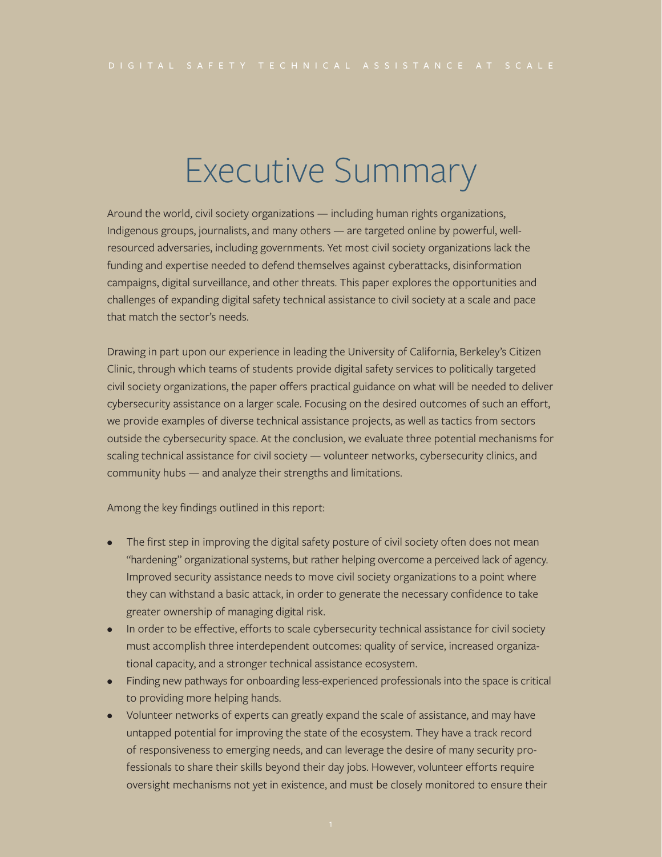### Executive Summary

Around the world, civil society organizations — including human rights organizations, Indigenous groups, journalists, and many others — are targeted online by powerful, wellresourced adversaries, including governments. Yet most civil society organizations lack the funding and expertise needed to defend themselves against cyberattacks, disinformation campaigns, digital surveillance, and other threats. This paper explores the opportunities and challenges of expanding digital safety technical assistance to civil society at a scale and pace that match the sector's needs.

Drawing in part upon our experience in leading the University of California, Berkeley's Citizen Clinic, through which teams of students provide digital safety services to politically targeted civil society organizations, the paper offers practical guidance on what will be needed to deliver cybersecurity assistance on a larger scale. Focusing on the desired outcomes of such an effort, we provide examples of diverse technical assistance projects, as well as tactics from sectors outside the cybersecurity space. At the conclusion, we evaluate three potential mechanisms for scaling technical assistance for civil society — volunteer networks, cybersecurity clinics, and community hubs — and analyze their strengths and limitations.

Among the key findings outlined in this report:

- The first step in improving the digital safety posture of civil society often does not mean "hardening" organizational systems, but rather helping overcome a perceived lack of agency. Improved security assistance needs to move civil society organizations to a point where they can withstand a basic attack, in order to generate the necessary confidence to take greater ownership of managing digital risk.
- In order to be effective, efforts to scale cybersecurity technical assistance for civil society must accomplish three interdependent outcomes: quality of service, increased organizational capacity, and a stronger technical assistance ecosystem.
- Finding new pathways for onboarding less-experienced professionals into the space is critical to providing more helping hands.
- Volunteer networks of experts can greatly expand the scale of assistance, and may have untapped potential for improving the state of the ecosystem. They have a track record of responsiveness to emerging needs, and can leverage the desire of many security professionals to share their skills beyond their day jobs. However, volunteer efforts require oversight mechanisms not yet in existence, and must be closely monitored to ensure their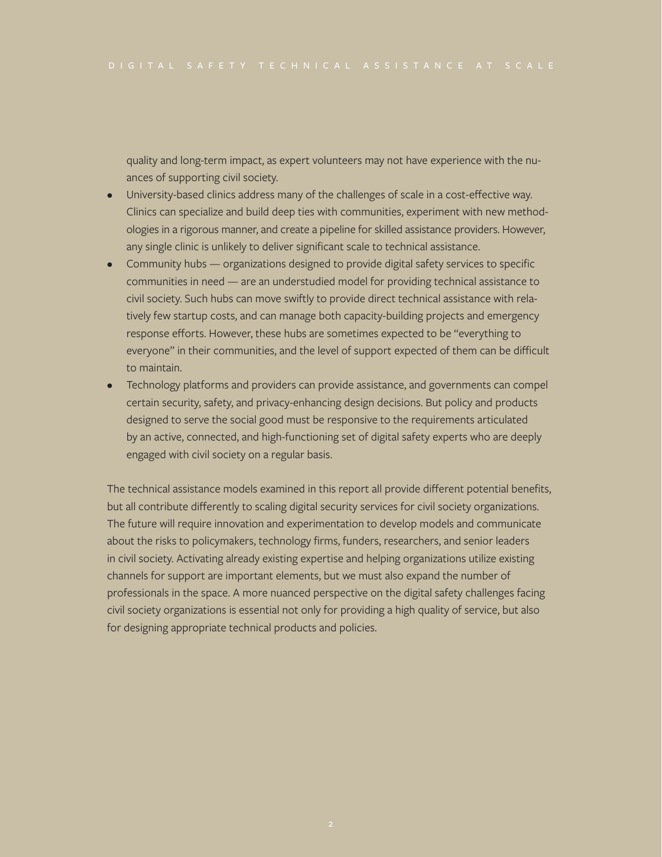quality and long-term impact, as expert volunteers may not have experience with the nuances of supporting civil society.

- University-based clinics address many of the challenges of scale in a cost-effective way. Clinics can specialize and build deep ties with communities, experiment with new methodologies in a rigorous manner, and create a pipeline for skilled assistance providers. However, any single clinic is unlikely to deliver significant scale to technical assistance.
- Community hubs organizations designed to provide digital safety services to specific communities in need — are an understudied model for providing technical assistance to civil society. Such hubs can move swiftly to provide direct technical assistance with relatively few startup costs, and can manage both capacity-building projects and emergency response efforts. However, these hubs are sometimes expected to be "everything to everyone" in their communities, and the level of support expected of them can be difficult to maintain.
- Technology platforms and providers can provide assistance, and governments can compel certain security, safety, and privacy-enhancing design decisions. But policy and products designed to serve the social good must be responsive to the requirements articulated by an active, connected, and high-functioning set of digital safety experts who are deeply engaged with civil society on a regular basis.

The technical assistance models examined in this report all provide different potential benefits, but all contribute differently to scaling digital security services for civil society organizations. The future will require innovation and experimentation to develop models and communicate about the risks to policymakers, technology firms, funders, researchers, and senior leaders in civil society. Activating already existing expertise and helping organizations utilize existing channels for support are important elements, but we must also expand the number of professionals in the space. A more nuanced perspective on the digital safety challenges facing civil society organizations is essential not only for providing a high quality of service, but also for designing appropriate technical products and policies.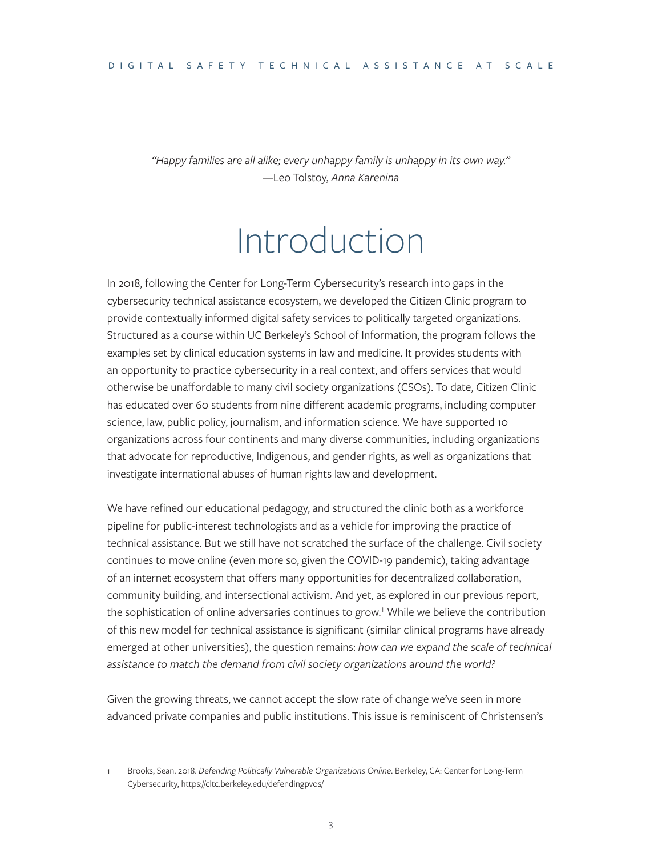*"Happy families are all alike; every unhappy family is unhappy in its own way."* —Leo Tolstoy, *Anna Karenina* 

### Introduction

In 2018, following the Center for Long-Term Cybersecurity's research into gaps in the cybersecurity technical assistance ecosystem, we developed the Citizen Clinic program to provide contextually informed digital safety services to politically targeted organizations. Structured as a course within UC Berkeley's School of Information, the program follows the examples set by clinical education systems in law and medicine. It provides students with an opportunity to practice cybersecurity in a real context, and offers services that would otherwise be unaffordable to many civil society organizations (CSOs). To date, Citizen Clinic has educated over 60 students from nine different academic programs, including computer science, law, public policy, journalism, and information science. We have supported 10 organizations across four continents and many diverse communities, including organizations that advocate for reproductive, Indigenous, and gender rights, as well as organizations that investigate international abuses of human rights law and development.

We have refined our educational pedagogy, and structured the clinic both as a workforce pipeline for public-interest technologists and as a vehicle for improving the practice of technical assistance. But we still have not scratched the surface of the challenge. Civil society continues to move online (even more so, given the COVID-19 pandemic), taking advantage of an internet ecosystem that offers many opportunities for decentralized collaboration, community building, and intersectional activism. And yet, as explored in our previous report, the sophistication of online adversaries continues to grow.<sup>1</sup> While we believe the contribution of this new model for technical assistance is significant (similar clinical programs have already emerged at other universities), the question remains: *how can we expand the scale of technical assistance to match the demand from civil society organizations around the world?*

Given the growing threats, we cannot accept the slow rate of change we've seen in more advanced private companies and public institutions. This issue is reminiscent of Christensen's

<sup>1</sup> Brooks, Sean. 2018. *Defending Politically Vulnerable Organizations Online*. Berkeley, CA: Center for Long-Term Cybersecurity, <https://cltc.berkeley.edu/defendingpvos/>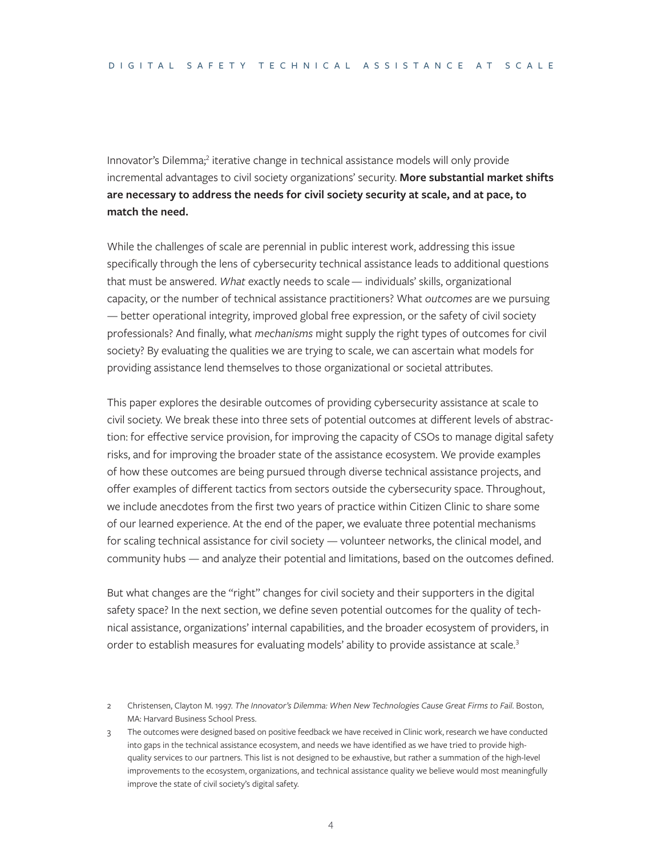Innovator's Dilemma;<sup>2</sup> iterative change in technical assistance models will only provide incremental advantages to civil society organizations' security. **More substantial market shifts are necessary to address the needs for civil society security at scale, and at pace, to match the need.** 

While the challenges of scale are perennial in public interest work, addressing this issue specifically through the lens of cybersecurity technical assistance leads to additional questions that must be answered. *What* exactly needs to scale — individuals' skills, organizational capacity, or the number of technical assistance practitioners? What *outcomes* are we pursuing — better operational integrity, improved global free expression, or the safety of civil society professionals? And finally, what *mechanisms* might supply the right types of outcomes for civil society? By evaluating the qualities we are trying to scale, we can ascertain what models for providing assistance lend themselves to those organizational or societal attributes.

This paper explores the desirable outcomes of providing cybersecurity assistance at scale to civil society. We break these into three sets of potential outcomes at different levels of abstraction: for effective service provision, for improving the capacity of CSOs to manage digital safety risks, and for improving the broader state of the assistance ecosystem. We provide examples of how these outcomes are being pursued through diverse technical assistance projects, and offer examples of different tactics from sectors outside the cybersecurity space. Throughout, we include anecdotes from the first two years of practice within Citizen Clinic to share some of our learned experience. At the end of the paper, we evaluate three potential mechanisms for scaling technical assistance for civil society — volunteer networks, the clinical model, and community hubs — and analyze their potential and limitations, based on the outcomes defined.

But what changes are the "right" changes for civil society and their supporters in the digital safety space? In the next section, we define seven potential outcomes for the quality of technical assistance, organizations' internal capabilities, and the broader ecosystem of providers, in order to establish measures for evaluating models' ability to provide assistance at scale.<sup>3</sup>

<sup>2</sup> Christensen, Clayton M. 1997. *The Innovator's Dilemma: When New Technologies Cause Great Firms to Fail*. Boston, MA: Harvard Business School Press.

<sup>3</sup> The outcomes were designed based on positive feedback we have received in Clinic work, research we have conducted into gaps in the technical assistance ecosystem, and needs we have identified as we have tried to provide highquality services to our partners. This list is not designed to be exhaustive, but rather a summation of the high-level improvements to the ecosystem, organizations, and technical assistance quality we believe would most meaningfully improve the state of civil society's digital safety.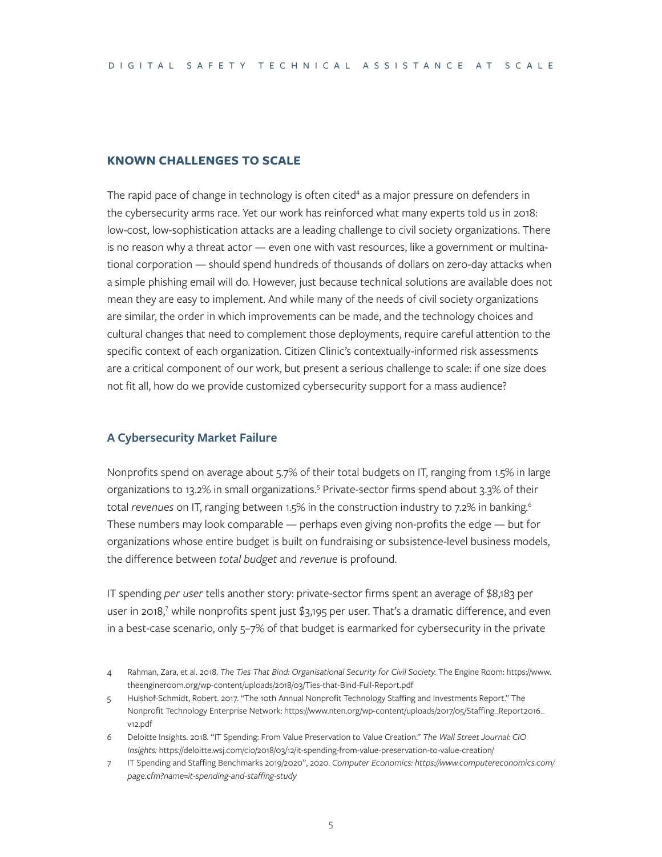#### **KNOWN CHALLENGES TO SCALE**

The rapid pace of change in technology is often cited<sup>4</sup> as a major pressure on defenders in the cybersecurity arms race. Yet our work has reinforced what many experts told us in 2018: low-cost, low-sophistication attacks are a leading challenge to civil society organizations. There is no reason why a threat actor — even one with vast resources, like a government or multinational corporation — should spend hundreds of thousands of dollars on zero-day attacks when a simple phishing email will do. However, just because technical solutions are available does not mean they are easy to implement. And while many of the needs of civil society organizations are similar, the order in which improvements can be made, and the technology choices and cultural changes that need to complement those deployments, require careful attention to the specific context of each organization. Citizen Clinic's contextually-informed risk assessments are a critical component of our work, but present a serious challenge to scale: if one size does not fit all, how do we provide customized cybersecurity support for a mass audience?

#### **A Cybersecurity Market Failure**

Nonprofits spend on average about 5.7% of their total budgets on IT, ranging from 1.5% in large organizations to 13.2% in small organizations.<sup>5</sup> Private-sector firms spend about 3.3% of their total *revenues* on IT, ranging between 1.5% in the construction industry to 7.2% in banking.<sup>6</sup> These numbers may look comparable — perhaps even giving non-profits the edge — but for organizations whose entire budget is built on fundraising or subsistence-level business models, the difference between *total budget* and *revenue* is profound.

IT spending *per user* tells another story: private-sector firms spent an average of \$8,183 per user in 2018, $^7$  while nonprofits spent just \$3,195 per user. That's a dramatic difference, and even in a best-case scenario, only 5–7% of that budget is earmarked for cybersecurity in the private

- 4 Rahman, Zara, et al. 2018. *The Ties That Bind: Organisational Security for Civil Society.* The Engine Room: [https://www.](https://www.theengineroom.org/wp-content/uploads/2018/03/Ties-that-Bind-Full-Report.pdf) [theengineroom.org/wp-content/uploads/2018/03/Ties-that-Bind-Full-Report.pdf](https://www.theengineroom.org/wp-content/uploads/2018/03/Ties-that-Bind-Full-Report.pdf)
- 5 Hulshof-Schmidt, Robert. 2017. "The 10th Annual Nonprofit Technology Staffing and Investments Report." The Nonprofit Technology Enterprise Network: [https://www.nten.org/wp-content/uploads/2017/05/Staffing\\_Report2016\\_](https://www.nten.org/wp-content/uploads/2017/05/Staffing_Report2016_v12.pdf) [v12.pdf](https://www.nten.org/wp-content/uploads/2017/05/Staffing_Report2016_v12.pdf)
- 6 Deloitte Insights. 2018. "IT Spending: From Value Preservation to Value Creation." *The Wall Street Journal: CIO Insights:* <https://deloitte.wsj.com/cio/2018/03/12/it-spending-from-value-preservation-to-value-creation/>
- 7 IT Spending and Staffing Benchmarks 2019/2020", 2020. *Computer Economics: [https://www.computereconomics.com/](https://www.computereconomics.com/page.cfm?name=it-spending-and-staffing-study) [page.cfm?name=it-spending-and-staffing-study](https://www.computereconomics.com/page.cfm?name=it-spending-and-staffing-study)*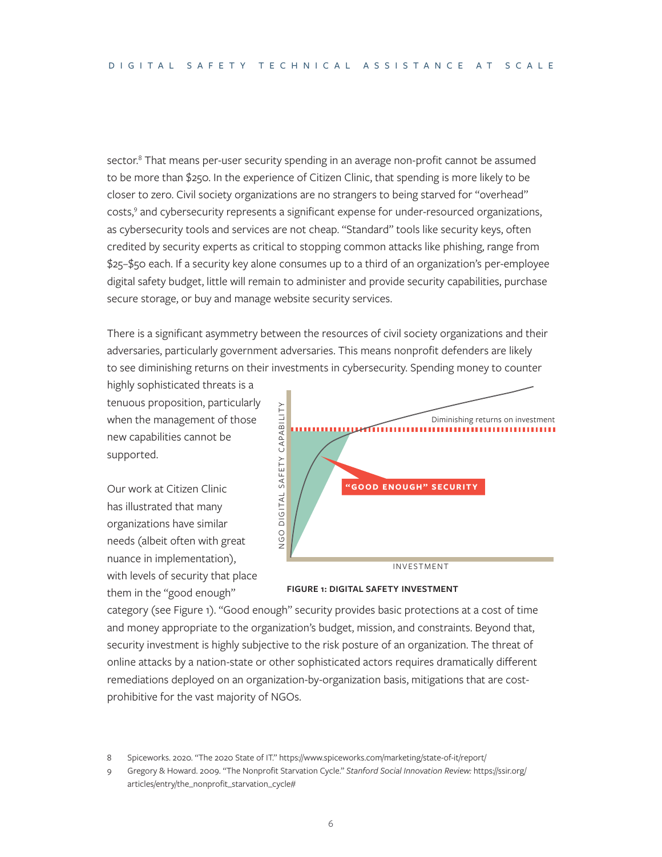sector.<sup>8</sup> That means per-user security spending in an average non-profit cannot be assumed to be more than \$250. In the experience of Citizen Clinic, that spending is more likely to be closer to zero. Civil society organizations are no strangers to being starved for "overhead" costs,<sup>9</sup> and cybersecurity represents a significant expense for under-resourced organizations, as cybersecurity tools and services are not cheap. "Standard" tools like security keys, often credited by security experts as critical to stopping common attacks like phishing, range from \$25–\$50 each. If a security key alone consumes up to a third of an organization's per-employee digital safety budget, little will remain to administer and provide security capabilities, purchase secure storage, or buy and manage website security services.

There is a significant asymmetry between the resources of civil society organizations and their adversaries, particularly government adversaries. This means nonprofit defenders are likely to see diminishing returns on their investments in cybersecurity. Spending money to counter

highly sophisticated threats is a tenuous proposition, particularly when the management of those new capabilities cannot be supported.

Our work at Citizen Clinic has illustrated that many organizations have similar needs (albeit often with great nuance in implementation), with levels of security that place them in the "good enough"





category (see Figure 1). "Good enough" security provides basic protections at a cost of time and money appropriate to the organization's budget, mission, and constraints. Beyond that, security investment is highly subjective to the risk posture of an organization. The threat of online attacks by a nation-state or other sophisticated actors requires dramatically different remediations deployed on an organization-by-organization basis, mitigations that are costprohibitive for the vast majority of NGOs.

9 Gregory & Howard. 2009. "The Nonprofit Starvation Cycle." *Stanford Social Innovation Review:* [https://ssir.org/](https://ssir.org/articles/entry/the_nonprofit_starvation_cycle#) [articles/entry/the\\_nonprofit\\_starvation\\_cycle#](https://ssir.org/articles/entry/the_nonprofit_starvation_cycle#)

<sup>8</sup> Spiceworks. 2020. "The 2020 State of IT."<https://www.spiceworks.com/marketing/state-of-it/report/>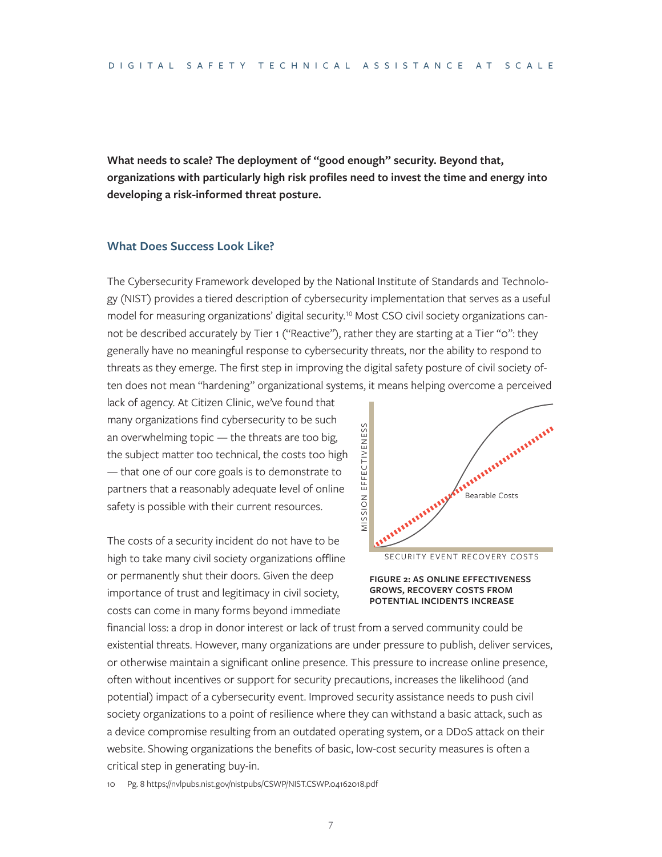**What needs to scale? The deployment of "good enough" security. Beyond that, organizations with particularly high risk profiles need to invest the time and energy into developing a risk-informed threat posture.** 

#### **What Does Success Look Like?**

The Cybersecurity Framework developed by the National Institute of Standards and Technology (NIST) provides a tiered description of cybersecurity implementation that serves as a useful model for measuring organizations' digital security.<sup>10</sup> Most CSO civil society organizations cannot be described accurately by Tier 1 ("Reactive"), rather they are starting at a Tier "o": they generally have no meaningful response to cybersecurity threats, nor the ability to respond to threats as they emerge. The first step in improving the digital safety posture of civil society often does not mean "hardening" organizational systems, it means helping overcome a perceived

lack of agency. At Citizen Clinic, we've found that many organizations find cybersecurity to be such an overwhelming topic — the threats are too big, the subject matter too technical, the costs too high — that one of our core goals is to demonstrate to partners that a reasonably adequate level of online safety is possible with their current resources.

The costs of a security incident do not have to be high to take many civil society organizations offline or permanently shut their doors. Given the deep importance of trust and legitimacy in civil society, costs can come in many forms beyond immediate







financial loss: a drop in donor interest or lack of trust from a served community could be existential threats. However, many organizations are under pressure to publish, deliver services, or otherwise maintain a significant online presence. This pressure to increase online presence, often without incentives or support for security precautions, increases the likelihood (and potential) impact of a cybersecurity event. Improved security assistance needs to push civil society organizations to a point of resilience where they can withstand a basic attack, such as a device compromise resulting from an outdated operating system, or a DDoS attack on their website. Showing organizations the benefits of basic, low-cost security measures is often a critical step in generating buy-in.

10 Pg. 8 <https://nvlpubs.nist.gov/nistpubs/CSWP/NIST.CSWP.04162018.pdf>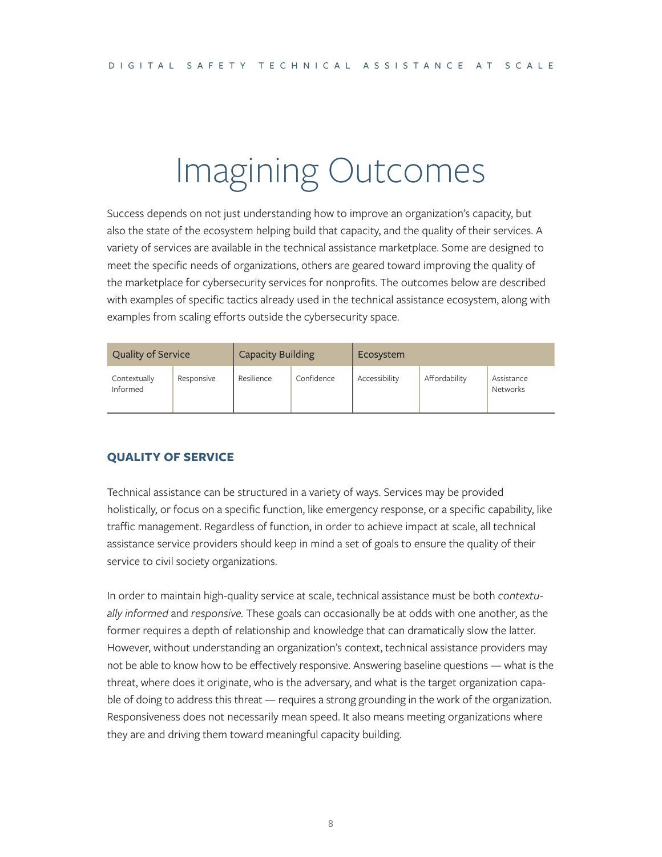## Imagining Outcomes

Success depends on not just understanding how to improve an organization's capacity, but also the state of the ecosystem helping build that capacity, and the quality of their services. A variety of services are available in the technical assistance marketplace. Some are designed to meet the specific needs of organizations, others are geared toward improving the quality of the marketplace for cybersecurity services for nonprofits. The outcomes below are described with examples of specific tactics already used in the technical assistance ecosystem, along with examples from scaling efforts outside the cybersecurity space.

| <b>Quality of Service</b> |            | <b>Capacity Building</b> |  | Ecosystem     |               |                        |  |
|---------------------------|------------|--------------------------|--|---------------|---------------|------------------------|--|
| Contextually<br>Informed  | Responsive | Confidence<br>Resilience |  | Accessibility | Affordability | Assistance<br>Networks |  |

#### **QUALITY OF SERVICE**

Technical assistance can be structured in a variety of ways. Services may be provided holistically, or focus on a specific function, like emergency response, or a specific capability, like traffic management. Regardless of function, in order to achieve impact at scale, all technical assistance service providers should keep in mind a set of goals to ensure the quality of their service to civil society organizations.

In order to maintain high-quality service at scale, technical assistance must be both *contextually informed* and *responsive.* These goals can occasionally be at odds with one another, as the former requires a depth of relationship and knowledge that can dramatically slow the latter. However, without understanding an organization's context, technical assistance providers may not be able to know how to be effectively responsive. Answering baseline questions — what is the threat, where does it originate, who is the adversary, and what is the target organization capable of doing to address this threat — requires a strong grounding in the work of the organization. Responsiveness does not necessarily mean speed. It also means meeting organizations where they are and driving them toward meaningful capacity building.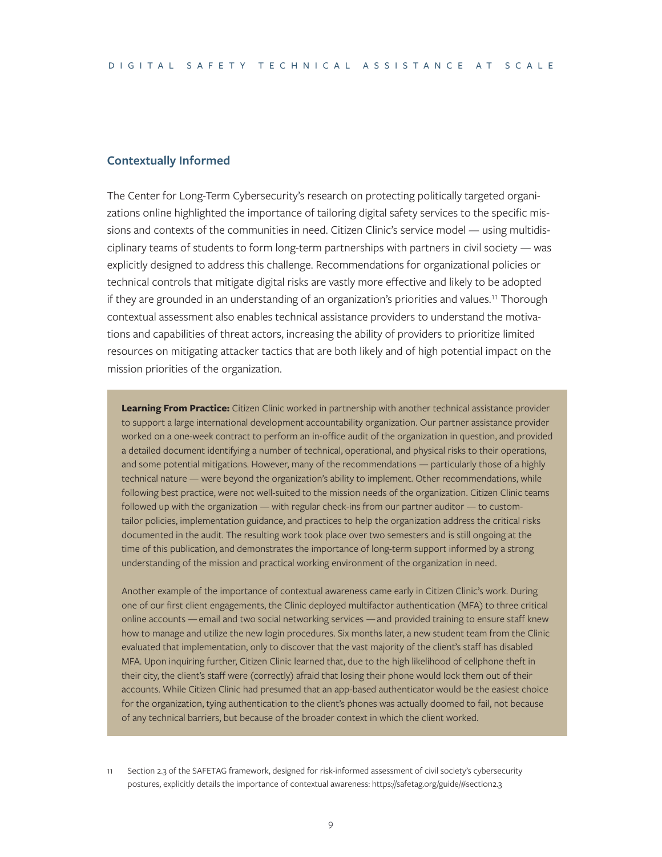#### **Contextually Informed**

The Center for Long-Term Cybersecurity's research on protecting politically targeted organizations online highlighted the importance of tailoring digital safety services to the specific missions and contexts of the communities in need. Citizen Clinic's service model — using multidisciplinary teams of students to form long-term partnerships with partners in civil society — was explicitly designed to address this challenge. Recommendations for organizational policies or technical controls that mitigate digital risks are vastly more effective and likely to be adopted if they are grounded in an understanding of an organization's priorities and values.11 Thorough contextual assessment also enables technical assistance providers to understand the motivations and capabilities of threat actors, increasing the ability of providers to prioritize limited resources on mitigating attacker tactics that are both likely and of high potential impact on the mission priorities of the organization.

**Learning From Practice:** Citizen Clinic worked in partnership with another technical assistance provider to support a large international development accountability organization. Our partner assistance provider worked on a one-week contract to perform an in-office audit of the organization in question, and provided a detailed document identifying a number of technical, operational, and physical risks to their operations, and some potential mitigations. However, many of the recommendations — particularly those of a highly technical nature — were beyond the organization's ability to implement. Other recommendations, while following best practice, were not well-suited to the mission needs of the organization. Citizen Clinic teams followed up with the organization — with regular check-ins from our partner auditor — to customtailor policies, implementation guidance, and practices to help the organization address the critical risks documented in the audit. The resulting work took place over two semesters and is still ongoing at the time of this publication, and demonstrates the importance of long-term support informed by a strong understanding of the mission and practical working environment of the organization in need.

Another example of the importance of contextual awareness came early in Citizen Clinic's work. During one of our first client engagements, the Clinic deployed multifactor authentication (MFA) to three critical online accounts — email and two social networking services — and provided training to ensure staff knew how to manage and utilize the new login procedures. Six months later, a new student team from the Clinic evaluated that implementation, only to discover that the vast majority of the client's staff has disabled MFA. Upon inquiring further, Citizen Clinic learned that, due to the high likelihood of cellphone theft in their city, the client's staff were (correctly) afraid that losing their phone would lock them out of their accounts. While Citizen Clinic had presumed that an app-based authenticator would be the easiest choice for the organization, tying authentication to the client's phones was actually doomed to fail, not because of any technical barriers, but because of the broader context in which the client worked.

Section 2.3 of the SAFETAG framework, designed for risk-informed assessment of civil society's cybersecurity postures, explicitly details the importance of contextual awareness:<https://safetag.org/guide/#section2.3>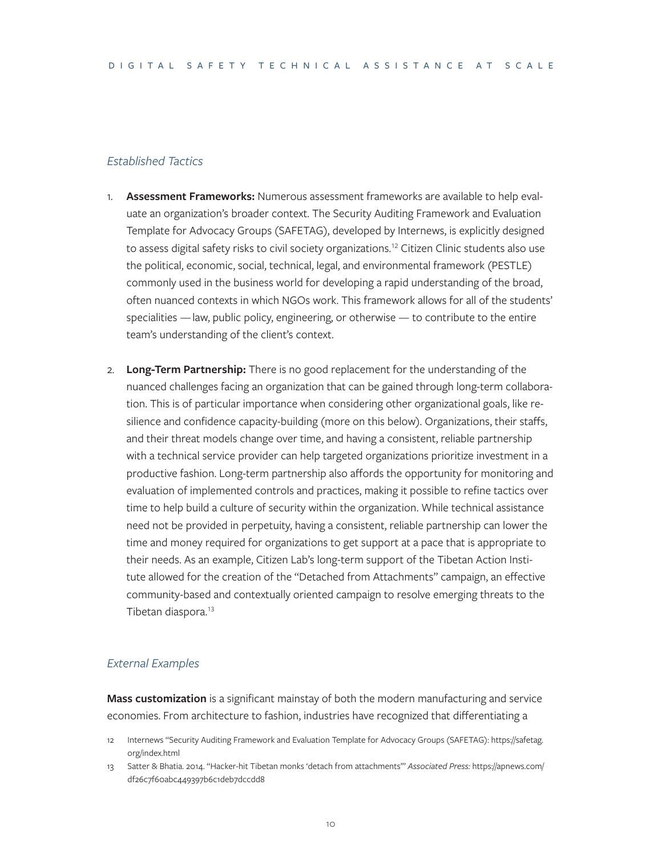#### *Established Tactics*

- 1. **Assessment Frameworks:** Numerous assessment frameworks are available to help evaluate an organization's broader context. The Security Auditing Framework and Evaluation Template for Advocacy Groups (SAFETAG), developed by Internews, is explicitly designed to assess digital safety risks to civil society organizations.<sup>12</sup> Citizen Clinic students also use the political, economic, social, technical, legal, and environmental framework (PESTLE) commonly used in the business world for developing a rapid understanding of the broad, often nuanced contexts in which NGOs work. This framework allows for all of the students' specialities — law, public policy, engineering, or otherwise — to contribute to the entire team's understanding of the client's context.
- 2. **Long-Term Partnership:** There is no good replacement for the understanding of the nuanced challenges facing an organization that can be gained through long-term collaboration. This is of particular importance when considering other organizational goals, like resilience and confidence capacity-building (more on this below). Organizations, their staffs, and their threat models change over time, and having a consistent, reliable partnership with a technical service provider can help targeted organizations prioritize investment in a productive fashion. Long-term partnership also affords the opportunity for monitoring and evaluation of implemented controls and practices, making it possible to refine tactics over time to help build a culture of security within the organization. While technical assistance need not be provided in perpetuity, having a consistent, reliable partnership can lower the time and money required for organizations to get support at a pace that is appropriate to their needs. As an example, Citizen Lab's long-term support of the Tibetan Action Institute allowed for the creation of the "Detached from Attachments" campaign, an effective community-based and contextually oriented campaign to resolve emerging threats to the Tibetan diaspora.<sup>13</sup>

#### *External Examples*

**Mass customization** is a significant mainstay of both the modern manufacturing and service economies. From architecture to fashion, industries have recognized that differentiating a

- 12 Internews "Security Auditing Framework and Evaluation Template for Advocacy Groups (SAFETAG): [https://safetag.](https://safetag.org/index.html) [org/index.html](https://safetag.org/index.html)
- 13 Satter & Bhatia. 2014. "Hacker-hit Tibetan monks 'detach from attachments'" *Associated Press:* [https://apnews.com/](https://apnews.com/df26c7f60abc449397b6c1deb7dccdd8) [df26c7f60abc449397b6c1deb7dccdd8](https://apnews.com/df26c7f60abc449397b6c1deb7dccdd8)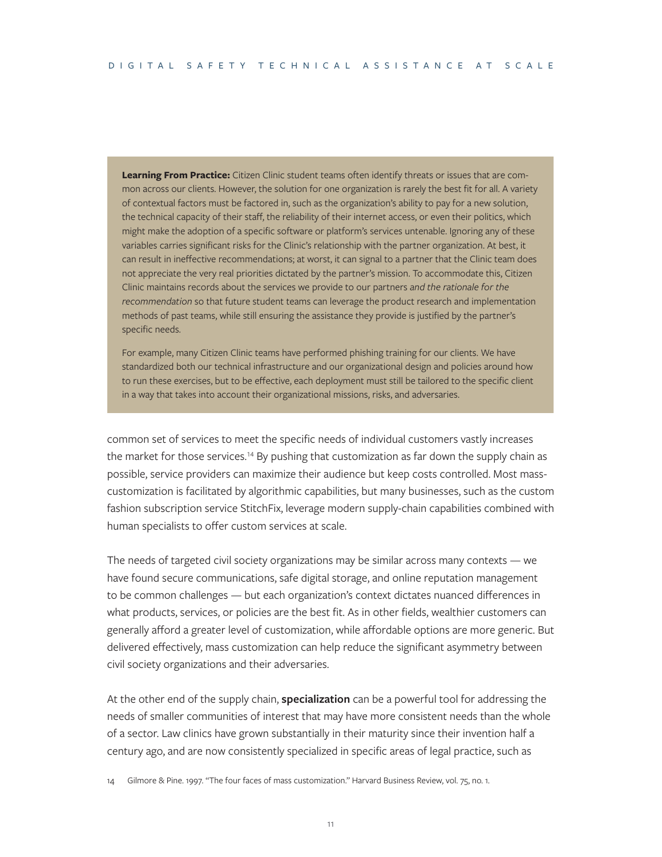**Learning From Practice:** Citizen Clinic student teams often identify threats or issues that are common across our clients. However, the solution for one organization is rarely the best fit for all. A variety of contextual factors must be factored in, such as the organization's ability to pay for a new solution, the technical capacity of their staff, the reliability of their internet access, or even their politics, which might make the adoption of a specific software or platform's services untenable. Ignoring any of these variables carries significant risks for the Clinic's relationship with the partner organization. At best, it can result in ineffective recommendations; at worst, it can signal to a partner that the Clinic team does not appreciate the very real priorities dictated by the partner's mission. To accommodate this, Citizen Clinic maintains records about the services we provide to our partners *and the rationale for the recommendation* so that future student teams can leverage the product research and implementation methods of past teams, while still ensuring the assistance they provide is justified by the partner's specific needs.

For example, many Citizen Clinic teams have performed phishing training for our clients. We have standardized both our technical infrastructure and our organizational design and policies around how to run these exercises, but to be effective, each deployment must still be tailored to the specific client in a way that takes into account their organizational missions, risks, and adversaries.

common set of services to meet the specific needs of individual customers vastly increases the market for those services.<sup>14</sup> By pushing that customization as far down the supply chain as possible, service providers can maximize their audience but keep costs controlled. Most masscustomization is facilitated by algorithmic capabilities, but many businesses, such as the custom fashion subscription service StitchFix, leverage modern supply-chain capabilities combined with human specialists to offer custom services at scale.

The needs of targeted civil society organizations may be similar across many contexts — we have found secure communications, safe digital storage, and online reputation management to be common challenges — but each organization's context dictates nuanced differences in what products, services, or policies are the best fit. As in other fields, wealthier customers can generally afford a greater level of customization, while affordable options are more generic. But delivered effectively, mass customization can help reduce the significant asymmetry between civil society organizations and their adversaries.

At the other end of the supply chain, **specialization** can be a powerful tool for addressing the needs of smaller communities of interest that may have more consistent needs than the whole of a sector. Law clinics have grown substantially in their maturity since their invention half a century ago, and are now consistently specialized in specific areas of legal practice, such as

14 Gilmore & Pine. 1997. "The four faces of mass customization." Harvard Business Review, vol. 75, no. 1.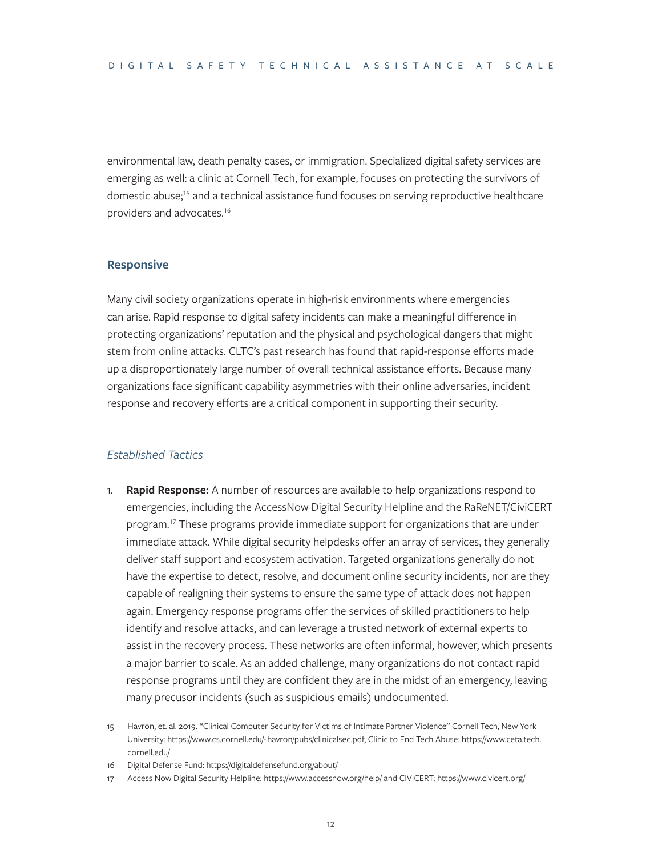environmental law, death penalty cases, or immigration. Specialized digital safety services are emerging as well: a clinic at Cornell Tech, for example, focuses on protecting the survivors of domestic abuse;<sup>15</sup> and a technical assistance fund focuses on serving reproductive healthcare providers and advocates.16

#### **Responsive**

Many civil society organizations operate in high-risk environments where emergencies can arise. Rapid response to digital safety incidents can make a meaningful difference in protecting organizations' reputation and the physical and psychological dangers that might stem from online attacks. CLTC's past research has found that rapid-response efforts made up a disproportionately large number of overall technical assistance efforts. Because many organizations face significant capability asymmetries with their online adversaries, incident response and recovery efforts are a critical component in supporting their security.

#### *Established Tactics*

- 1. **Rapid Response:** A number of resources are available to help organizations respond to emergencies, including the AccessNow Digital Security Helpline and the RaReNET/CiviCERT program.17 These programs provide immediate support for organizations that are under immediate attack. While digital security helpdesks offer an array of services, they generally deliver staff support and ecosystem activation. Targeted organizations generally do not have the expertise to detect, resolve, and document online security incidents, nor are they capable of realigning their systems to ensure the same type of attack does not happen again. Emergency response programs offer the services of skilled practitioners to help identify and resolve attacks, and can leverage a trusted network of external experts to assist in the recovery process. These networks are often informal, however, which presents a major barrier to scale. As an added challenge, many organizations do not contact rapid response programs until they are confident they are in the midst of an emergency, leaving many precusor incidents (such as suspicious emails) undocumented.
- 15 Havron, et. al. 2019. "Clinical Computer Security for Victims of Intimate Partner Violence" Cornell Tech, New York University: <https://www.cs.cornell.edu/~havron/pubs/clinicalsec.pdf>, Clinic to End Tech Abuse: [https://www.ceta.tech.](https://www.ceta.tech.cornell.edu/) [cornell.edu/](https://www.ceta.tech.cornell.edu/)
- 16 Digital Defense Fund: <https://digitaldefensefund.org/about/>
- 17 Access Now Digital Security Helpline:<https://www.accessnow.org/help/> and CIVICERT: <https://www.civicert.org/>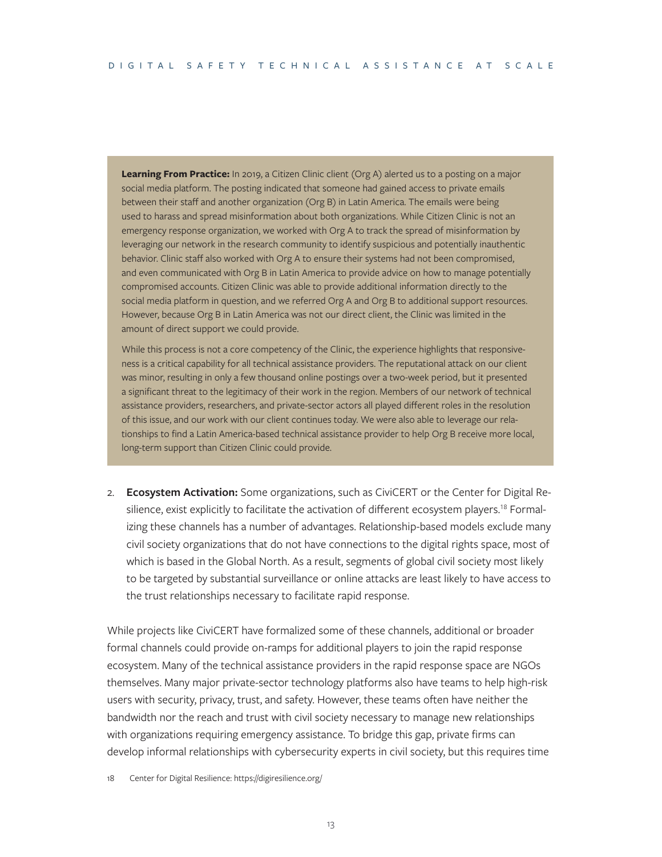**Learning From Practice:** In 2019, a Citizen Clinic client (Org A) alerted us to a posting on a major social media platform. The posting indicated that someone had gained access to private emails between their staff and another organization (Org B) in Latin America. The emails were being used to harass and spread misinformation about both organizations. While Citizen Clinic is not an emergency response organization, we worked with Org A to track the spread of misinformation by leveraging our network in the research community to identify suspicious and potentially inauthentic behavior. Clinic staff also worked with Org A to ensure their systems had not been compromised, and even communicated with Org B in Latin America to provide advice on how to manage potentially compromised accounts. Citizen Clinic was able to provide additional information directly to the social media platform in question, and we referred Org A and Org B to additional support resources. However, because Org B in Latin America was not our direct client, the Clinic was limited in the amount of direct support we could provide.

While this process is not a core competency of the Clinic, the experience highlights that responsiveness is a critical capability for all technical assistance providers. The reputational attack on our client was minor, resulting in only a few thousand online postings over a two-week period, but it presented a significant threat to the legitimacy of their work in the region. Members of our network of technical assistance providers, researchers, and private-sector actors all played different roles in the resolution of this issue, and our work with our client continues today. We were also able to leverage our relationships to find a Latin America-based technical assistance provider to help Org B receive more local, long-term support than Citizen Clinic could provide.

2. **Ecosystem Activation:** Some organizations, such as CiviCERT or the Center for Digital Resilience, exist explicitly to facilitate the activation of different ecosystem players.<sup>18</sup> Formalizing these channels has a number of advantages. Relationship-based models exclude many civil society organizations that do not have connections to the digital rights space, most of which is based in the Global North. As a result, segments of global civil society most likely to be targeted by substantial surveillance or online attacks are least likely to have access to the trust relationships necessary to facilitate rapid response.

While projects like CiviCERT have formalized some of these channels, additional or broader formal channels could provide on-ramps for additional players to join the rapid response ecosystem. Many of the technical assistance providers in the rapid response space are NGOs themselves. Many major private-sector technology platforms also have teams to help high-risk users with security, privacy, trust, and safety. However, these teams often have neither the bandwidth nor the reach and trust with civil society necessary to manage new relationships with organizations requiring emergency assistance. To bridge this gap, private firms can develop informal relationships with cybersecurity experts in civil society, but this requires time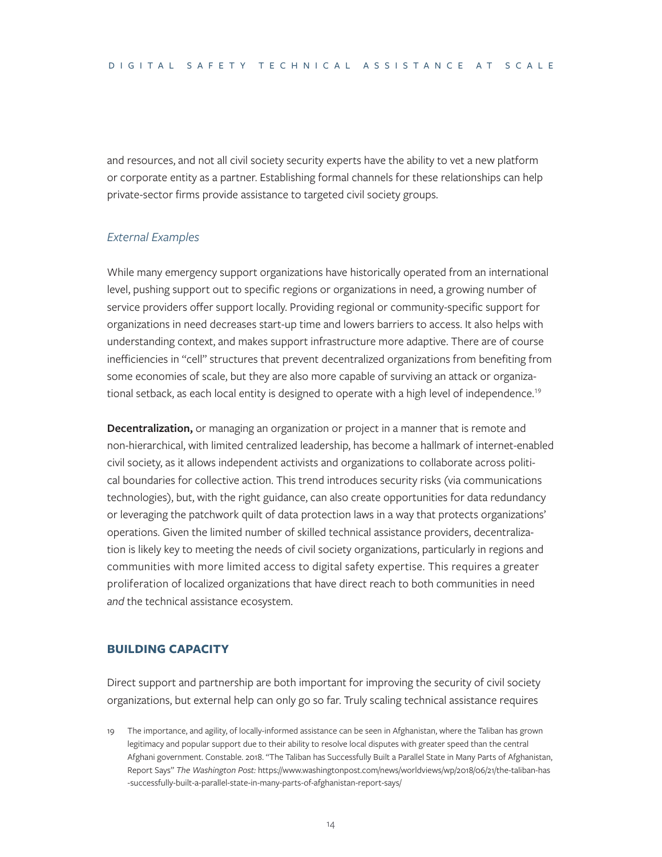and resources, and not all civil society security experts have the ability to vet a new platform or corporate entity as a partner. Establishing formal channels for these relationships can help private-sector firms provide assistance to targeted civil society groups.

#### *External Examples*

While many emergency support organizations have historically operated from an international level, pushing support out to specific regions or organizations in need, a growing number of service providers offer support locally. Providing regional or community-specific support for organizations in need decreases start-up time and lowers barriers to access. It also helps with understanding context, and makes support infrastructure more adaptive. There are of course inefficiencies in "cell" structures that prevent decentralized organizations from benefiting from some economies of scale, but they are also more capable of surviving an attack or organizational setback, as each local entity is designed to operate with a high level of independence.<sup>19</sup>

**Decentralization,** or managing an organization or project in a manner that is remote and non-hierarchical, with limited centralized leadership, has become a hallmark of internet-enabled civil society, as it allows independent activists and organizations to collaborate across political boundaries for collective action. This trend introduces security risks (via communications technologies), but, with the right guidance, can also create opportunities for data redundancy or leveraging the patchwork quilt of data protection laws in a way that protects organizations' operations. Given the limited number of skilled technical assistance providers, decentralization is likely key to meeting the needs of civil society organizations, particularly in regions and communities with more limited access to digital safety expertise. This requires a greater proliferation of localized organizations that have direct reach to both communities in need *and* the technical assistance ecosystem.

#### **BUILDING CAPACITY**

Direct support and partnership are both important for improving the security of civil society organizations, but external help can only go so far. Truly scaling technical assistance requires

19 The importance, and agility, of locally-informed assistance can be seen in Afghanistan, where the Taliban has grown legitimacy and popular support due to their ability to resolve local disputes with greater speed than the central Afghani government. Constable. 2018. "The Taliban has Successfully Built a Parallel State in Many Parts of Afghanistan, Report Says" *The Washington Post:* [https://www.washingtonpost.com/news/worldviews/wp/2018/06/21/the-taliban-has](https://www.washingtonpost.com/news/worldviews/wp/2018/06/21/the-taliban-has-successfully-built-a-parallel-state-in-many-parts-of-afghanistan-report-says/) [-successfully-built-a-parallel-state-in-many-parts-of-afghanistan-report-says/](https://www.washingtonpost.com/news/worldviews/wp/2018/06/21/the-taliban-has-successfully-built-a-parallel-state-in-many-parts-of-afghanistan-report-says/)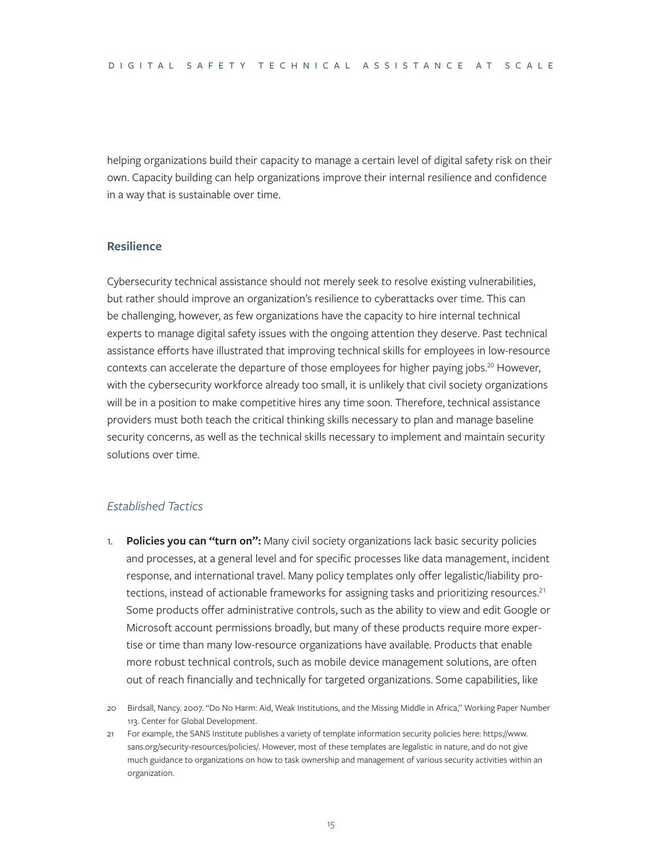helping organizations build their capacity to manage a certain level of digital safety risk on their own. Capacity building can help organizations improve their internal resilience and confidence in a way that is sustainable over time.

#### **Resilience**

Cybersecurity technical assistance should not merely seek to resolve existing vulnerabilities, but rather should improve an organization's resilience to cyberattacks over time. This can be challenging, however, as few organizations have the capacity to hire internal technical experts to manage digital safety issues with the ongoing attention they deserve. Past technical assistance efforts have illustrated that improving technical skills for employees in low-resource contexts can accelerate the departure of those employees for higher paying jobs.<sup>20</sup> However, with the cybersecurity workforce already too small, it is unlikely that civil society organizations will be in a position to make competitive hires any time soon. Therefore, technical assistance providers must both teach the critical thinking skills necessary to plan and manage baseline security concerns, as well as the technical skills necessary to implement and maintain security solutions over time.

#### *Established Tactics*

1. **Policies you can "turn on":** Many civil society organizations lack basic security policies and processes, at a general level and for specific processes like data management, incident response, and international travel. Many policy templates only offer legalistic/liability protections, instead of actionable frameworks for assigning tasks and prioritizing resources.<sup>21</sup> Some products offer administrative controls, such as the ability to view and edit Google or Microsoft account permissions broadly, but many of these products require more expertise or time than many low-resource organizations have available. Products that enable more robust technical controls, such as mobile device management solutions, are often out of reach financially and technically for targeted organizations. Some capabilities, like

<sup>20</sup> Birdsall, Nancy. 2007. "Do No Harm: Aid, Weak Institutions, and the Missing Middle in Africa," Working Paper Number 113. Center for Global Development.

<sup>21</sup> For example, the SANS Institute publishes a variety of template information security policies here: [https://www.](https://www.sans.org/security-resources/policies/) [sans.org/security-resources/policies/](https://www.sans.org/security-resources/policies/). However, most of these templates are legalistic in nature, and do not give much guidance to organizations on how to task ownership and management of various security activities within an organization.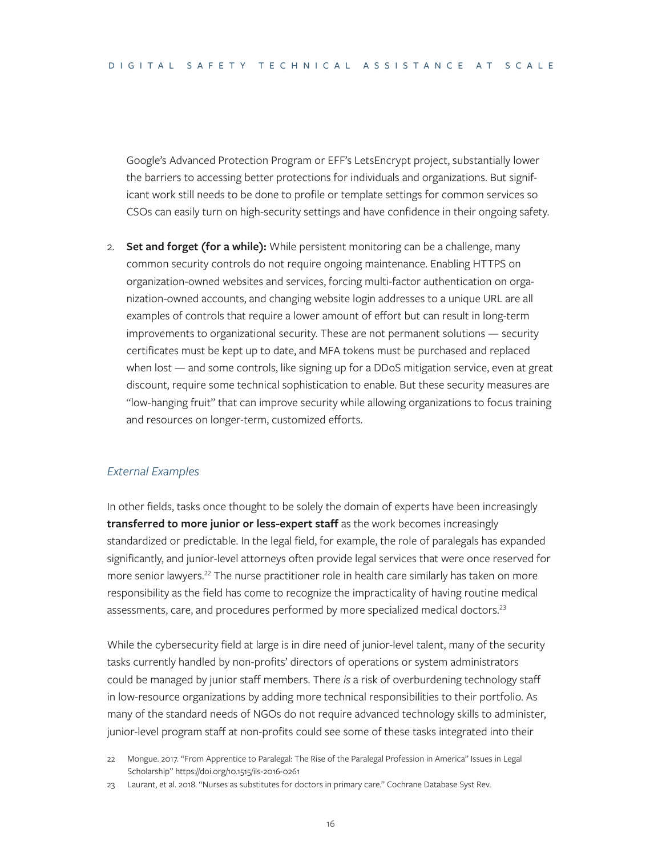Google's Advanced Protection Program or EFF's LetsEncrypt project, substantially lower the barriers to accessing better protections for individuals and organizations. But significant work still needs to be done to profile or template settings for common services so CSOs can easily turn on high-security settings and have confidence in their ongoing safety.

2. **Set and forget (for a while):** While persistent monitoring can be a challenge, many common security controls do not require ongoing maintenance. Enabling HTTPS on organization-owned websites and services, forcing multi-factor authentication on organization-owned accounts, and changing website login addresses to a unique URL are all examples of controls that require a lower amount of effort but can result in long-term improvements to organizational security. These are not permanent solutions — security certificates must be kept up to date, and MFA tokens must be purchased and replaced when lost — and some controls, like signing up for a DDoS mitigation service, even at great discount, require some technical sophistication to enable. But these security measures are "low-hanging fruit" that can improve security while allowing organizations to focus training and resources on longer-term, customized efforts.

#### *External Examples*

In other fields, tasks once thought to be solely the domain of experts have been increasingly **transferred to more junior or less-expert staff** as the work becomes increasingly standardized or predictable. In the legal field, for example, the role of paralegals has expanded significantly, and junior-level attorneys often provide legal services that were once reserved for more senior lawyers.<sup>22</sup> The nurse practitioner role in health care similarly has taken on more responsibility as the field has come to recognize the impracticality of having routine medical assessments, care, and procedures performed by more specialized medical doctors.<sup>23</sup>

While the cybersecurity field at large is in dire need of junior-level talent, many of the security tasks currently handled by non-profits' directors of operations or system administrators could be managed by junior staff members. There *is* a risk of overburdening technology staff in low-resource organizations by adding more technical responsibilities to their portfolio. As many of the standard needs of NGOs do not require advanced technology skills to administer, junior-level program staff at non-profits could see some of these tasks integrated into their

- 22 Mongue. 2017. "From Apprentice to Paralegal: The Rise of the Paralegal Profession in America" Issues in Legal Scholarship" https://doi.org/10.1515/ils-2016-0261
- 23 Laurant, et al. 2018. "Nurses as substitutes for doctors in primary care." Cochrane Database Syst Rev.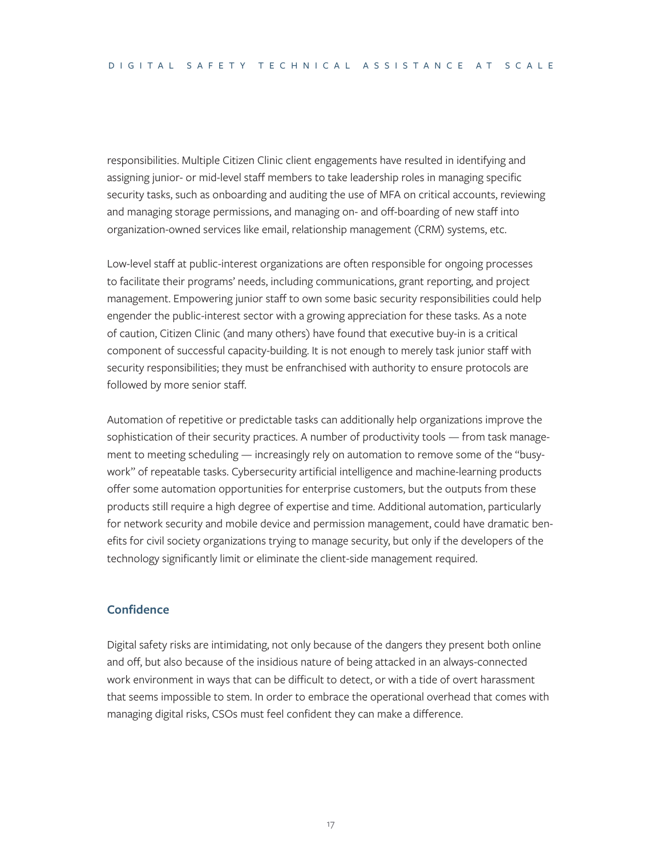responsibilities. Multiple Citizen Clinic client engagements have resulted in identifying and assigning junior- or mid-level staff members to take leadership roles in managing specific security tasks, such as onboarding and auditing the use of MFA on critical accounts, reviewing and managing storage permissions, and managing on- and off-boarding of new staff into organization-owned services like email, relationship management (CRM) systems, etc.

Low-level staff at public-interest organizations are often responsible for ongoing processes to facilitate their programs' needs, including communications, grant reporting, and project management. Empowering junior staff to own some basic security responsibilities could help engender the public-interest sector with a growing appreciation for these tasks. As a note of caution, Citizen Clinic (and many others) have found that executive buy-in is a critical component of successful capacity-building. It is not enough to merely task junior staff with security responsibilities; they must be enfranchised with authority to ensure protocols are followed by more senior staff.

Automation of repetitive or predictable tasks can additionally help organizations improve the sophistication of their security practices. A number of productivity tools — from task management to meeting scheduling — increasingly rely on automation to remove some of the "busywork" of repeatable tasks. Cybersecurity artificial intelligence and machine-learning products offer some automation opportunities for enterprise customers, but the outputs from these products still require a high degree of expertise and time. Additional automation, particularly for network security and mobile device and permission management, could have dramatic benefits for civil society organizations trying to manage security, but only if the developers of the technology significantly limit or eliminate the client-side management required.

#### **Confidence**

Digital safety risks are intimidating, not only because of the dangers they present both online and off, but also because of the insidious nature of being attacked in an always-connected work environment in ways that can be difficult to detect, or with a tide of overt harassment that seems impossible to stem. In order to embrace the operational overhead that comes with managing digital risks, CSOs must feel confident they can make a difference.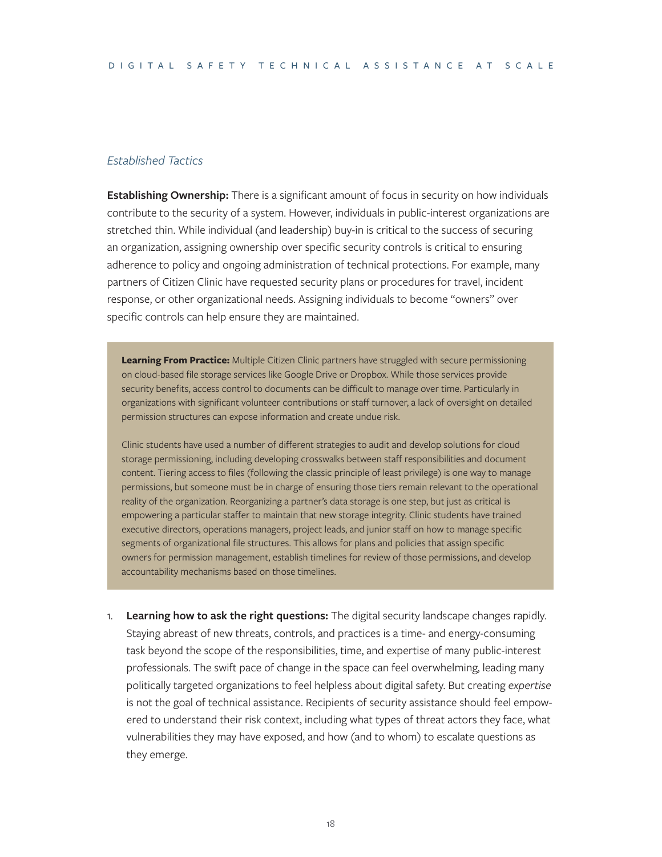#### *Established Tactics*

**Establishing Ownership:** There is a significant amount of focus in security on how individuals contribute to the security of a system. However, individuals in public-interest organizations are stretched thin. While individual (and leadership) buy-in is critical to the success of securing an organization, assigning ownership over specific security controls is critical to ensuring adherence to policy and ongoing administration of technical protections. For example, many partners of Citizen Clinic have requested security plans or procedures for travel, incident response, or other organizational needs. Assigning individuals to become "owners" over specific controls can help ensure they are maintained.

**Learning From Practice:** Multiple Citizen Clinic partners have struggled with secure permissioning on cloud-based file storage services like Google Drive or Dropbox. While those services provide security benefits, access control to documents can be difficult to manage over time. Particularly in organizations with significant volunteer contributions or staff turnover, a lack of oversight on detailed permission structures can expose information and create undue risk.

Clinic students have used a number of different strategies to audit and develop solutions for cloud storage permissioning, including developing crosswalks between staff responsibilities and document content. Tiering access to files (following the classic principle of least privilege) is one way to manage permissions, but someone must be in charge of ensuring those tiers remain relevant to the operational reality of the organization. Reorganizing a partner's data storage is one step, but just as critical is empowering a particular staffer to maintain that new storage integrity. Clinic students have trained executive directors, operations managers, project leads, and junior staff on how to manage specific segments of organizational file structures. This allows for plans and policies that assign specific owners for permission management, establish timelines for review of those permissions, and develop accountability mechanisms based on those timelines.

1. **Learning how to ask the right questions:** The digital security landscape changes rapidly. Staying abreast of new threats, controls, and practices is a time- and energy-consuming task beyond the scope of the responsibilities, time, and expertise of many public-interest professionals. The swift pace of change in the space can feel overwhelming, leading many politically targeted organizations to feel helpless about digital safety. But creating *expertise* is not the goal of technical assistance. Recipients of security assistance should feel empowered to understand their risk context, including what types of threat actors they face, what vulnerabilities they may have exposed, and how (and to whom) to escalate questions as they emerge.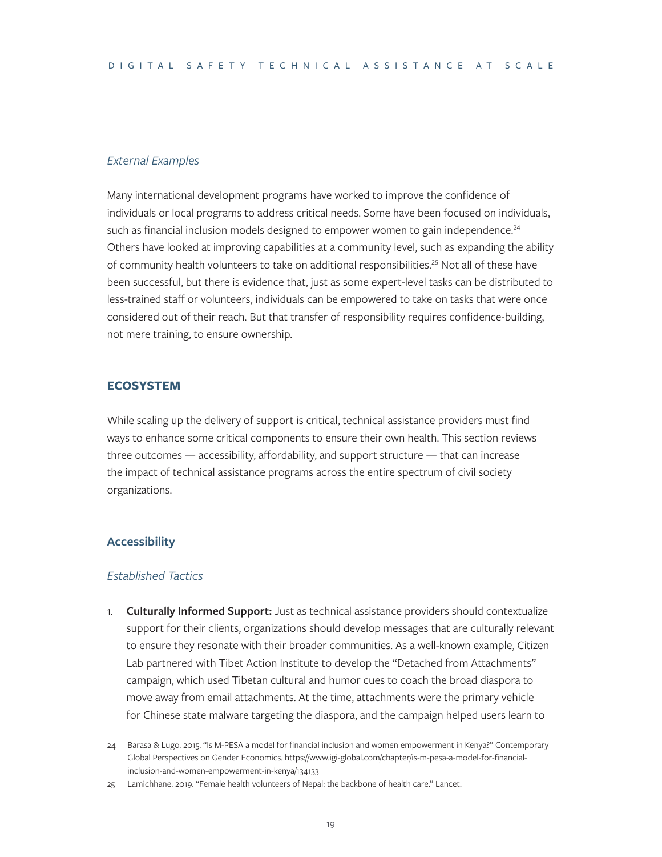#### *External Examples*

Many international development programs have worked to improve the confidence of individuals or local programs to address critical needs. Some have been focused on individuals, such as financial inclusion models designed to empower women to gain independence.<sup>24</sup> Others have looked at improving capabilities at a community level, such as expanding the ability of community health volunteers to take on additional responsibilities.<sup>25</sup> Not all of these have been successful, but there is evidence that, just as some expert-level tasks can be distributed to less-trained staff or volunteers, individuals can be empowered to take on tasks that were once considered out of their reach. But that transfer of responsibility requires confidence-building, not mere training, to ensure ownership.

#### **ECOSYSTEM**

While scaling up the delivery of support is critical, technical assistance providers must find ways to enhance some critical components to ensure their own health. This section reviews three outcomes — accessibility, affordability, and support structure — that can increase the impact of technical assistance programs across the entire spectrum of civil society organizations.

#### **Accessibility**

#### *Established Tactics*

1. **Culturally Informed Support:** Just as technical assistance providers should contextualize support for their clients, organizations should develop messages that are culturally relevant to ensure they resonate with their broader communities. As a well-known example, Citizen Lab partnered with Tibet Action Institute to develop the "Detached from Attachments" campaign, which used Tibetan cultural and humor cues to coach the broad diaspora to move away from email attachments. At the time, attachments were the primary vehicle for Chinese state malware targeting the diaspora, and the campaign helped users learn to

<sup>24</sup> Barasa & Lugo. 2015. "Is M-PESA a model for financial inclusion and women empowerment in Kenya?" Contemporary Global Perspectives on Gender Economics. [https://www.igi-global.com/chapter/is-m-pesa-a-model-for-financial](https://www.igi-global.com/chapter/is-m-pesa-a-model-for-financial-inclusion-and-women-empowerment-in-kenya/134133)[inclusion-and-women-empowerment-in-kenya/134133](https://www.igi-global.com/chapter/is-m-pesa-a-model-for-financial-inclusion-and-women-empowerment-in-kenya/134133)

<sup>25</sup> Lamichhane. 2019. "Female health volunteers of Nepal: the backbone of health care." Lancet.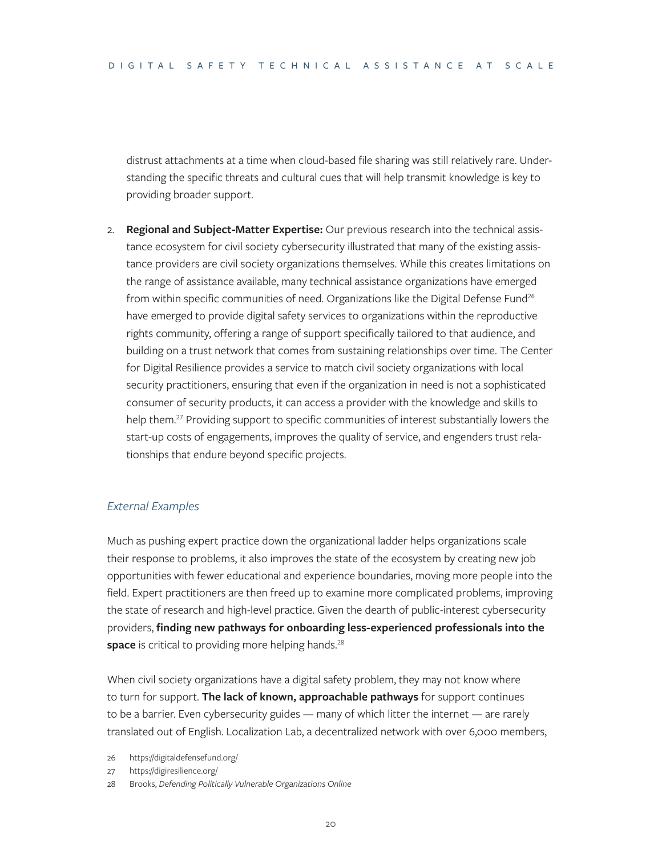distrust attachments at a time when cloud-based file sharing was still relatively rare. Understanding the specific threats and cultural cues that will help transmit knowledge is key to providing broader support.

2. **Regional and Subject-Matter Expertise:** Our previous research into the technical assistance ecosystem for civil society cybersecurity illustrated that many of the existing assistance providers are civil society organizations themselves. While this creates limitations on the range of assistance available, many technical assistance organizations have emerged from within specific communities of need. Organizations like the Digital Defense Fund<sup>26</sup> have emerged to provide digital safety services to organizations within the reproductive rights community, offering a range of support specifically tailored to that audience, and building on a trust network that comes from sustaining relationships over time. The Center for Digital Resilience provides a service to match civil society organizations with local security practitioners, ensuring that even if the organization in need is not a sophisticated consumer of security products, it can access a provider with the knowledge and skills to help them.<sup>27</sup> Providing support to specific communities of interest substantially lowers the start-up costs of engagements, improves the quality of service, and engenders trust relationships that endure beyond specific projects.

#### *External Examples*

Much as pushing expert practice down the organizational ladder helps organizations scale their response to problems, it also improves the state of the ecosystem by creating new job opportunities with fewer educational and experience boundaries, moving more people into the field. Expert practitioners are then freed up to examine more complicated problems, improving the state of research and high-level practice. Given the dearth of public-interest cybersecurity providers, **finding new pathways for onboarding less-experienced professionals into the**  space is critical to providing more helping hands.<sup>28</sup>

When civil society organizations have a digital safety problem, they may not know where to turn for support. **The lack of known, approachable pathways** for support continues to be a barrier. Even cybersecurity guides — many of which litter the internet — are rarely translated out of English. Localization Lab, a decentralized network with over 6,000 members,

26 <https://digitaldefensefund.org/>

27 <https://digiresilience.org/>

28 Brooks, *Defending Politically Vulnerable Organizations Online*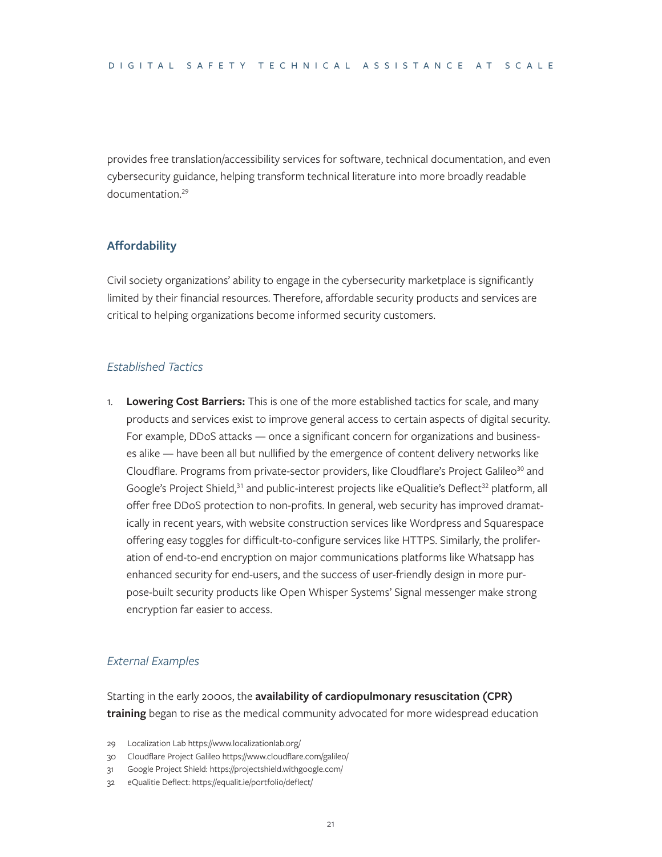provides free translation/accessibility services for software, technical documentation, and even cybersecurity guidance, helping transform technical literature into more broadly readable documentation.29

#### **Affordability**

Civil society organizations' ability to engage in the cybersecurity marketplace is significantly limited by their financial resources. Therefore, affordable security products and services are critical to helping organizations become informed security customers.

#### *Established Tactics*

1. **Lowering Cost Barriers:** This is one of the more established tactics for scale, and many products and services exist to improve general access to certain aspects of digital security. For example, DDoS attacks — once a significant concern for organizations and businesses alike — have been all but nullified by the emergence of content delivery networks like Cloudflare. Programs from private-sector providers, like Cloudflare's Project Galileo<sup>30</sup> and Google's Project Shield, $31$  and public-interest projects like eQualitie's Deflect $32$  platform, all offer free DDoS protection to non-profits. In general, web security has improved dramatically in recent years, with website construction services like Wordpress and Squarespace offering easy toggles for difficult-to-configure services like HTTPS. Similarly, the proliferation of end-to-end encryption on major communications platforms like Whatsapp has enhanced security for end-users, and the success of user-friendly design in more purpose-built security products like Open Whisper Systems' Signal messenger make strong encryption far easier to access.

#### *External Examples*

Starting in the early 2000s, the **availability of cardiopulmonary resuscitation (CPR) training** began to rise as the medical community advocated for more widespread education

29 Localization Lab<https://www.localizationlab.org/>

- 30 Cloudflare Project Galileo <https://www.cloudflare.com/galileo/>
- 31 Google Project Shield:<https://projectshield.withgoogle.com/>
- 32 eQualitie Deflect: <https://equalit.ie/portfolio/deflect/>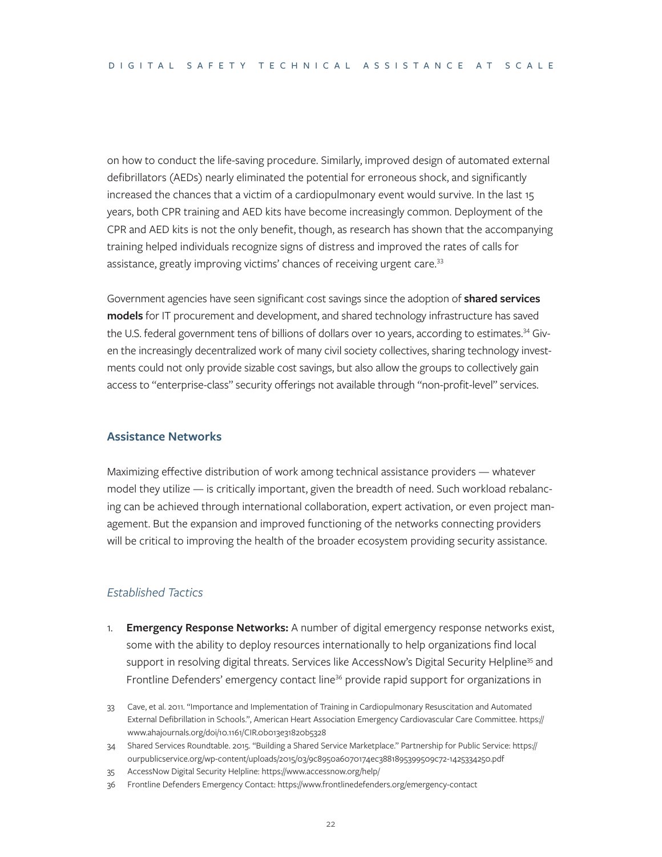on how to conduct the life-saving procedure. Similarly, improved design of automated external defibrillators (AEDs) nearly eliminated the potential for erroneous shock, and significantly increased the chances that a victim of a cardiopulmonary event would survive. In the last 15 years, both CPR training and AED kits have become increasingly common. Deployment of the CPR and AED kits is not the only benefit, though, as research has shown that the accompanying training helped individuals recognize signs of distress and improved the rates of calls for assistance, greatly improving victims' chances of receiving urgent care.<sup>33</sup>

Government agencies have seen significant cost savings since the adoption of **shared services models** for IT procurement and development, and shared technology infrastructure has saved the U.S. federal government tens of billions of dollars over 10 years, according to estimates.<sup>34</sup> Given the increasingly decentralized work of many civil society collectives, sharing technology investments could not only provide sizable cost savings, but also allow the groups to collectively gain access to "enterprise-class" security offerings not available through "non-profit-level" services.

#### **Assistance Networks**

Maximizing effective distribution of work among technical assistance providers — whatever model they utilize — is critically important, given the breadth of need. Such workload rebalancing can be achieved through international collaboration, expert activation, or even project management. But the expansion and improved functioning of the networks connecting providers will be critical to improving the health of the broader ecosystem providing security assistance.

#### *Established Tactics*

- 1. **Emergency Response Networks:** A number of digital emergency response networks exist, some with the ability to deploy resources internationally to help organizations find local support in resolving digital threats. Services like AccessNow's Digital Security Helpline<sup>35</sup> and Frontline Defenders' emergency contact line<sup>36</sup> provide rapid support for organizations in
- 33 Cave, et al. 2011. "Importance and Implementation of Training in Cardiopulmonary Resuscitation and Automated External Defibrillation in Schools.", American Heart Association Emergency Cardiovascular Care Committee. [https://](https://www.ahajournals.org/doi/10.1161/CIR.0b013e31820b5328) [www.ahajournals.org/doi/10.1161/CIR.0b013e31820b5328](https://www.ahajournals.org/doi/10.1161/CIR.0b013e31820b5328)
- 34 Shared Services Roundtable. 2015. "Building a Shared Service Marketplace." Partnership for Public Service: [https://](https://ourpublicservice.org/wp-content/uploads/2015/03/9c8950a6070174ec3881895399509c72-1425334250.pdf) [ourpublicservice.org/wp-content/uploads/2015/03/9c8950a6070174ec3881895399509c72-1425334250.pdf](https://ourpublicservice.org/wp-content/uploads/2015/03/9c8950a6070174ec3881895399509c72-1425334250.pdf)
- 35 AccessNow Digital Security Helpline:<https://www.accessnow.org/help/>
- 36 Frontline Defenders Emergency Contact: <https://www.frontlinedefenders.org/emergency-contact>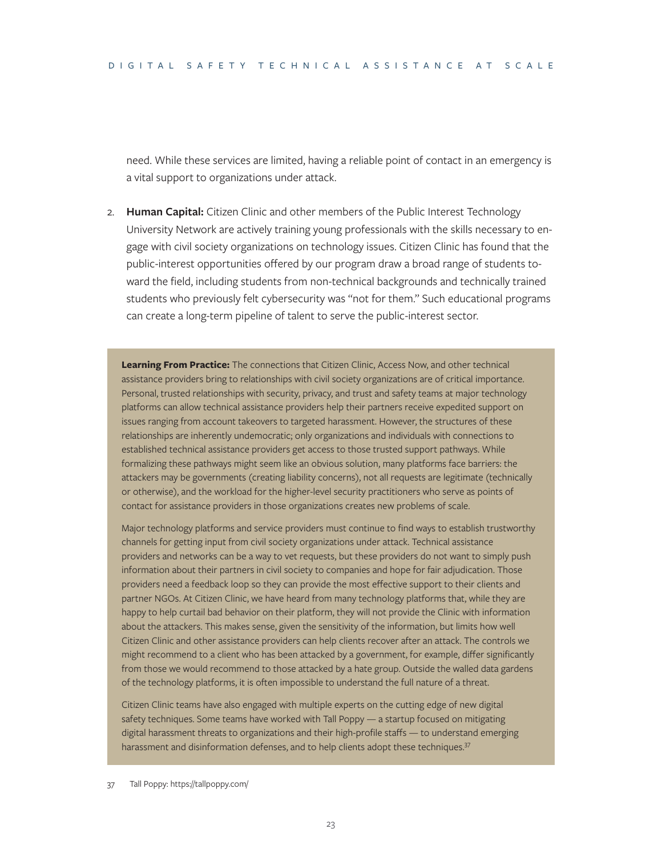need. While these services are limited, having a reliable point of contact in an emergency is a vital support to organizations under attack.

2. **Human Capital:** Citizen Clinic and other members of the Public Interest Technology University Network are actively training young professionals with the skills necessary to engage with civil society organizations on technology issues. Citizen Clinic has found that the public-interest opportunities offered by our program draw a broad range of students toward the field, including students from non-technical backgrounds and technically trained students who previously felt cybersecurity was "not for them." Such educational programs can create a long-term pipeline of talent to serve the public-interest sector.

**Learning From Practice:** The connections that Citizen Clinic, Access Now, and other technical assistance providers bring to relationships with civil society organizations are of critical importance. Personal, trusted relationships with security, privacy, and trust and safety teams at major technology platforms can allow technical assistance providers help their partners receive expedited support on issues ranging from account takeovers to targeted harassment. However, the structures of these relationships are inherently undemocratic; only organizations and individuals with connections to established technical assistance providers get access to those trusted support pathways. While formalizing these pathways might seem like an obvious solution, many platforms face barriers: the attackers may be governments (creating liability concerns), not all requests are legitimate (technically or otherwise), and the workload for the higher-level security practitioners who serve as points of contact for assistance providers in those organizations creates new problems of scale.

Major technology platforms and service providers must continue to find ways to establish trustworthy channels for getting input from civil society organizations under attack. Technical assistance providers and networks can be a way to vet requests, but these providers do not want to simply push information about their partners in civil society to companies and hope for fair adjudication. Those providers need a feedback loop so they can provide the most effective support to their clients and partner NGOs. At Citizen Clinic, we have heard from many technology platforms that, while they are happy to help curtail bad behavior on their platform, they will not provide the Clinic with information about the attackers. This makes sense, given the sensitivity of the information, but limits how well Citizen Clinic and other assistance providers can help clients recover after an attack. The controls we might recommend to a client who has been attacked by a government, for example, differ significantly from those we would recommend to those attacked by a hate group. Outside the walled data gardens of the technology platforms, it is often impossible to understand the full nature of a threat.

Citizen Clinic teams have also engaged with multiple experts on the cutting edge of new digital safety techniques. Some teams have worked with Tall Poppy — a startup focused on mitigating digital harassment threats to organizations and their high-profile staffs — to understand emerging harassment and disinformation defenses, and to help clients adopt these techniques.<sup>37</sup>

<sup>37</sup> Tall Poppy: https://tallpoppy.com/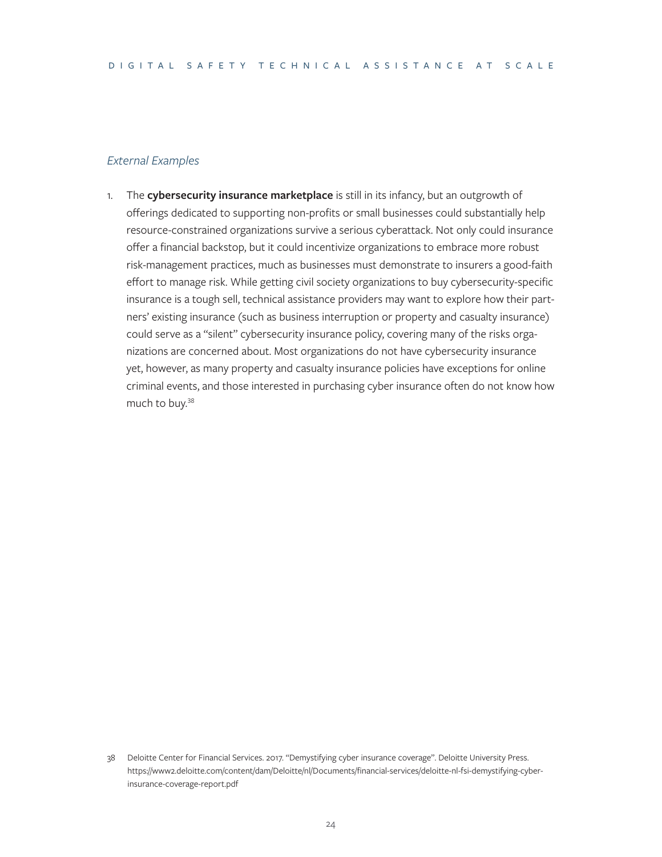#### *External Examples*

1. The **cybersecurity insurance marketplace** is still in its infancy, but an outgrowth of offerings dedicated to supporting non-profits or small businesses could substantially help resource-constrained organizations survive a serious cyberattack. Not only could insurance offer a financial backstop, but it could incentivize organizations to embrace more robust risk-management practices, much as businesses must demonstrate to insurers a good-faith effort to manage risk. While getting civil society organizations to buy cybersecurity-specific insurance is a tough sell, technical assistance providers may want to explore how their partners' existing insurance (such as business interruption or property and casualty insurance) could serve as a "silent" cybersecurity insurance policy, covering many of the risks organizations are concerned about. Most organizations do not have cybersecurity insurance yet, however, as many property and casualty insurance policies have exceptions for online criminal events, and those interested in purchasing cyber insurance often do not know how much to buy.38

<sup>38</sup> Deloitte Center for Financial Services. 2017. "Demystifying cyber insurance coverage". Deloitte University Press. [https://www2.deloitte.com/content/dam/Deloitte/nl/Documents/financial-services/deloitte-nl-fsi-demystifying-cyber](https://www2.deloitte.com/content/dam/Deloitte/nl/Documents/financial-services/deloitte-nl-fsi-demystifying-cyber-insurance-coverage-report.pdf)[insurance-coverage-report.pdf](https://www2.deloitte.com/content/dam/Deloitte/nl/Documents/financial-services/deloitte-nl-fsi-demystifying-cyber-insurance-coverage-report.pdf)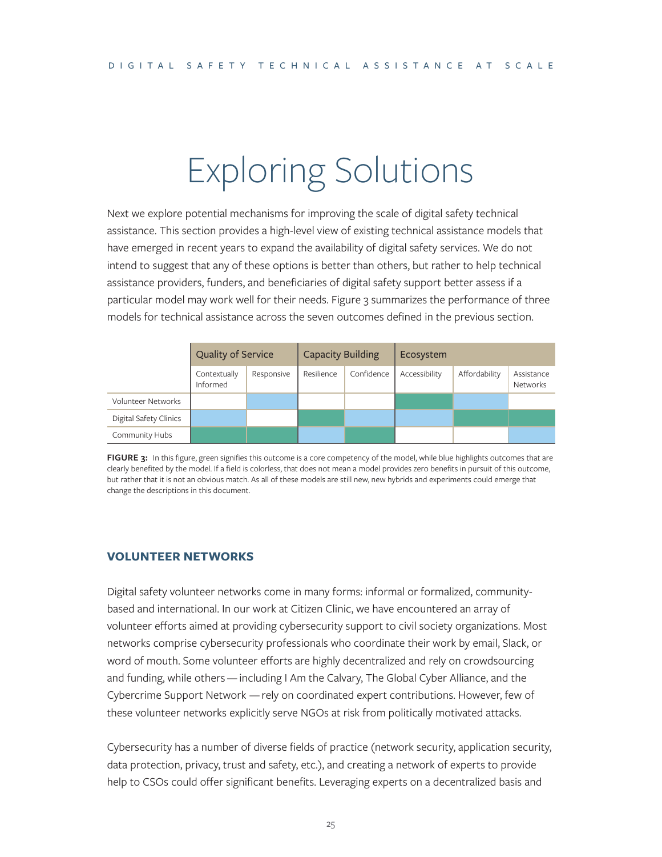# Exploring Solutions

Next we explore potential mechanisms for improving the scale of digital safety technical assistance. This section provides a high-level view of existing technical assistance models that have emerged in recent years to expand the availability of digital safety services. We do not intend to suggest that any of these options is better than others, but rather to help technical assistance providers, funders, and beneficiaries of digital safety support better assess if a particular model may work well for their needs. Figure 3 summarizes the performance of three models for technical assistance across the seven outcomes defined in the previous section.

|                        | <b>Quality of Service</b> |            | Capacity Building |            | Ecosystem     |               |                               |
|------------------------|---------------------------|------------|-------------------|------------|---------------|---------------|-------------------------------|
|                        | Contextually<br>Informed  | Responsive | Resilience        | Confidence | Accessibility | Affordability | Assistance<br><b>Networks</b> |
| Volunteer Networks     |                           |            |                   |            |               |               |                               |
| Digital Safety Clinics |                           |            |                   |            |               |               |                               |
| Community Hubs         |                           |            |                   |            |               |               |                               |

**FIGURE 3:** In this figure, green signifies this outcome is a core competency of the model, while blue highlights outcomes that are clearly benefited by the model. If a field is colorless, that does not mean a model provides zero benefits in pursuit of this outcome, but rather that it is not an obvious match. As all of these models are still new, new hybrids and experiments could emerge that change the descriptions in this document.

#### **VOLUNTEER NETWORKS**

Digital safety volunteer networks come in many forms: informal or formalized, communitybased and international. In our work at Citizen Clinic, we have encountered an array of volunteer efforts aimed at providing cybersecurity support to civil society organizations. Most networks comprise cybersecurity professionals who coordinate their work by email, Slack, or word of mouth. Some volunteer efforts are highly decentralized and rely on crowdsourcing and funding, while others — including I Am the Calvary, The Global Cyber Alliance, and the Cybercrime Support Network — rely on coordinated expert contributions. However, few of these volunteer networks explicitly serve NGOs at risk from politically motivated attacks.

Cybersecurity has a number of diverse fields of practice (network security, application security, data protection, privacy, trust and safety, etc.), and creating a network of experts to provide help to CSOs could offer significant benefits. Leveraging experts on a decentralized basis and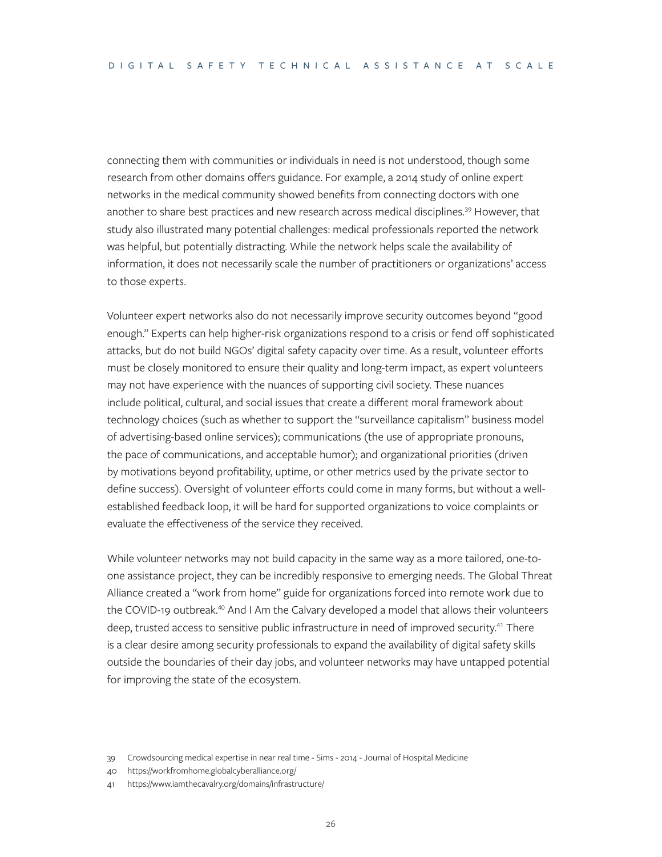connecting them with communities or individuals in need is not understood, though some research from other domains offers guidance. For example, a 2014 study of online expert networks in the medical community showed benefits from connecting doctors with one another to share best practices and new research across medical disciplines.<sup>39</sup> However, that study also illustrated many potential challenges: medical professionals reported the network was helpful, but potentially distracting. While the network helps scale the availability of information, it does not necessarily scale the number of practitioners or organizations' access to those experts.

Volunteer expert networks also do not necessarily improve security outcomes beyond "good enough." Experts can help higher-risk organizations respond to a crisis or fend off sophisticated attacks, but do not build NGOs' digital safety capacity over time. As a result, volunteer efforts must be closely monitored to ensure their quality and long-term impact, as expert volunteers may not have experience with the nuances of supporting civil society. These nuances include political, cultural, and social issues that create a different moral framework about technology choices (such as whether to support the "surveillance capitalism" business model of advertising-based online services); communications (the use of appropriate pronouns, the pace of communications, and acceptable humor); and organizational priorities (driven by motivations beyond profitability, uptime, or other metrics used by the private sector to define success). Oversight of volunteer efforts could come in many forms, but without a wellestablished feedback loop, it will be hard for supported organizations to voice complaints or evaluate the effectiveness of the service they received.

While volunteer networks may not build capacity in the same way as a more tailored, one-toone assistance project, they can be incredibly responsive to emerging needs. The Global Threat Alliance created a "work from home" guide for organizations forced into remote work due to the COVID-19 outbreak.<sup>40</sup> And I Am the Calvary developed a model that allows their volunteers deep, trusted access to sensitive public infrastructure in need of improved security.<sup>41</sup> There is a clear desire among security professionals to expand the availability of digital safety skills outside the boundaries of their day jobs, and volunteer networks may have untapped potential for improving the state of the ecosystem.

40 <https://workfromhome.globalcyberalliance.org/>

<sup>39</sup> [Crowdsourcing medical expertise in near real time - Sims - 2014 - Journal of Hospital Medicine](https://onlinelibrary.wiley.com/doi/abs/10.1002/jhm.2204)

<sup>41</sup> <https://www.iamthecavalry.org/domains/infrastructure/>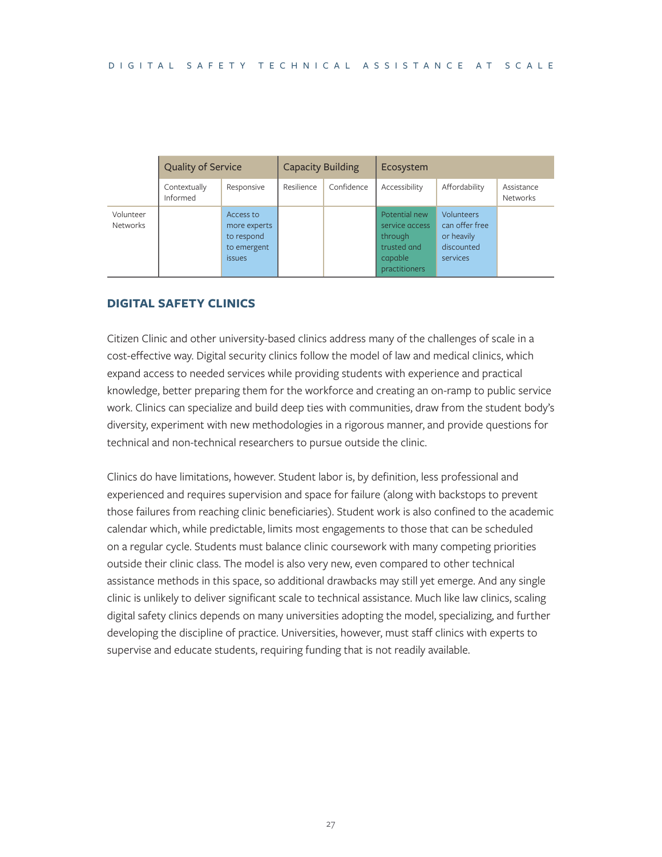|                              | <b>Quality of Service</b> |                                                                  | <b>Capacity Building</b> |            | Ecosystem                                                                             |                                                                             |                        |
|------------------------------|---------------------------|------------------------------------------------------------------|--------------------------|------------|---------------------------------------------------------------------------------------|-----------------------------------------------------------------------------|------------------------|
|                              | Contextually<br>Informed  | Responsive                                                       | Resilience               | Confidence | Accessibility                                                                         | Affordability                                                               | Assistance<br>Networks |
| Volunteer<br><b>Networks</b> |                           | Access to<br>more experts<br>to respond<br>to emergent<br>issues |                          |            | Potential new<br>service access<br>through<br>trusted and<br>capable<br>practitioners | <b>Volunteers</b><br>can offer free<br>or heavily<br>discounted<br>services |                        |

#### **DIGITAL SAFETY CLINICS**

Citizen Clinic and other university-based clinics address many of the challenges of scale in a cost-effective way. Digital security clinics follow the model of law and medical clinics, which expand access to needed services while providing students with experience and practical knowledge, better preparing them for the workforce and creating an on-ramp to public service work. Clinics can specialize and build deep ties with communities, draw from the student body's diversity, experiment with new methodologies in a rigorous manner, and provide questions for technical and non-technical researchers to pursue outside the clinic.

Clinics do have limitations, however. Student labor is, by definition, less professional and experienced and requires supervision and space for failure (along with backstops to prevent those failures from reaching clinic beneficiaries). Student work is also confined to the academic calendar which, while predictable, limits most engagements to those that can be scheduled on a regular cycle. Students must balance clinic coursework with many competing priorities outside their clinic class. The model is also very new, even compared to other technical assistance methods in this space, so additional drawbacks may still yet emerge. And any single clinic is unlikely to deliver significant scale to technical assistance. Much like law clinics, scaling digital safety clinics depends on many universities adopting the model, specializing, and further developing the discipline of practice. Universities, however, must staff clinics with experts to supervise and educate students, requiring funding that is not readily available.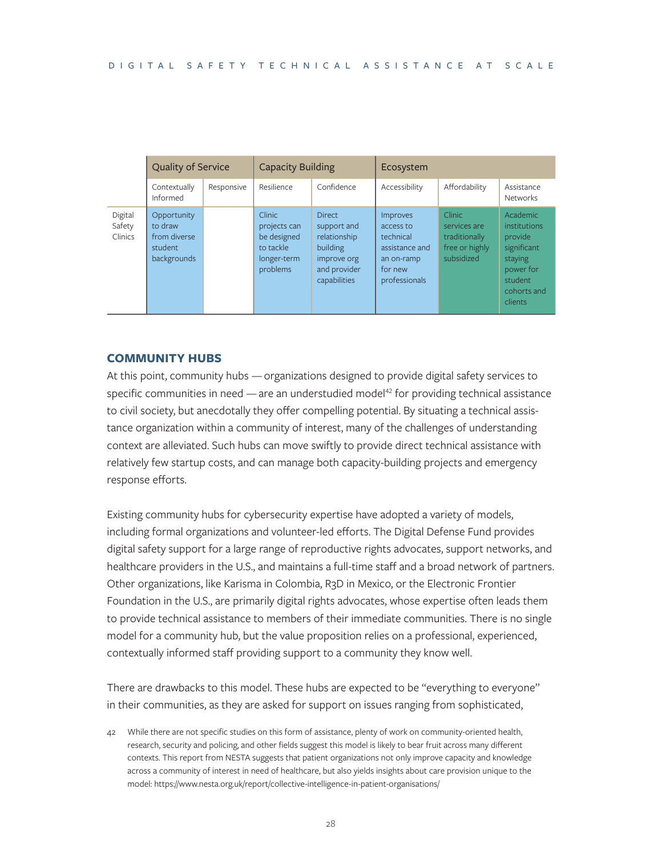|                              | <b>Quality of Service</b>                                        |            | Capacity Building                                                             |                                                                                                         | Ecosystem                                                                                      |                                                                                |                                                                                                                 |  |
|------------------------------|------------------------------------------------------------------|------------|-------------------------------------------------------------------------------|---------------------------------------------------------------------------------------------------------|------------------------------------------------------------------------------------------------|--------------------------------------------------------------------------------|-----------------------------------------------------------------------------------------------------------------|--|
|                              | Contextually<br>Informed                                         | Responsive | Resilience                                                                    | Confidence                                                                                              | Accessibility                                                                                  | Affordability                                                                  | Assistance<br><b>Networks</b>                                                                                   |  |
| Digital<br>Safety<br>Clinics | Opportunity<br>to draw<br>from diverse<br>student<br>backgrounds |            | Clinic<br>projects can<br>be designed<br>to tackle<br>longer-term<br>problems | <b>Direct</b><br>support and<br>relationship<br>building<br>improve org<br>and provider<br>capabilities | Improves<br>access to<br>technical<br>assistance and<br>an on-ramp<br>for new<br>professionals | <b>Clinic</b><br>services are<br>traditionally<br>free or highly<br>subsidized | Academic<br>institutions<br>provide<br>significant<br>staying<br>power for<br>student<br>cohorts and<br>clients |  |

#### **COMMUNITY HUBS**

At this point, community hubs — organizations designed to provide digital safety services to specific communities in need  $-$  are an understudied model<sup>42</sup> for providing technical assistance to civil society, but anecdotally they offer compelling potential. By situating a technical assistance organization within a community of interest, many of the challenges of understanding context are alleviated. Such hubs can move swiftly to provide direct technical assistance with relatively few startup costs, and can manage both capacity-building projects and emergency response efforts.

Existing community hubs for cybersecurity expertise have adopted a variety of models, including formal organizations and volunteer-led efforts. The Digital Defense Fund provides digital safety support for a large range of reproductive rights advocates, support networks, and healthcare providers in the U.S., and maintains a full-time staff and a broad network of partners. Other organizations, like Karisma in Colombia, R3D in Mexico, or the Electronic Frontier Foundation in the U.S., are primarily digital rights advocates, whose expertise often leads them to provide technical assistance to members of their immediate communities. There is no single model for a community hub, but the value proposition relies on a professional, experienced, contextually informed staff providing support to a community they know well.

There are drawbacks to this model. These hubs are expected to be "everything to everyone" in their communities, as they are asked for support on issues ranging from sophisticated,

42 While there are not specific studies on this form of assistance, plenty of work on community-oriented health, research, security and policing, and other fields suggest this model is likely to bear fruit across many different contexts. This report from NESTA suggests that patient organizations not only improve capacity and knowledge across a community of interest in need of healthcare, but also yields insights about care provision unique to the model: <https://www.nesta.org.uk/report/collective-intelligence-in-patient-organisations/>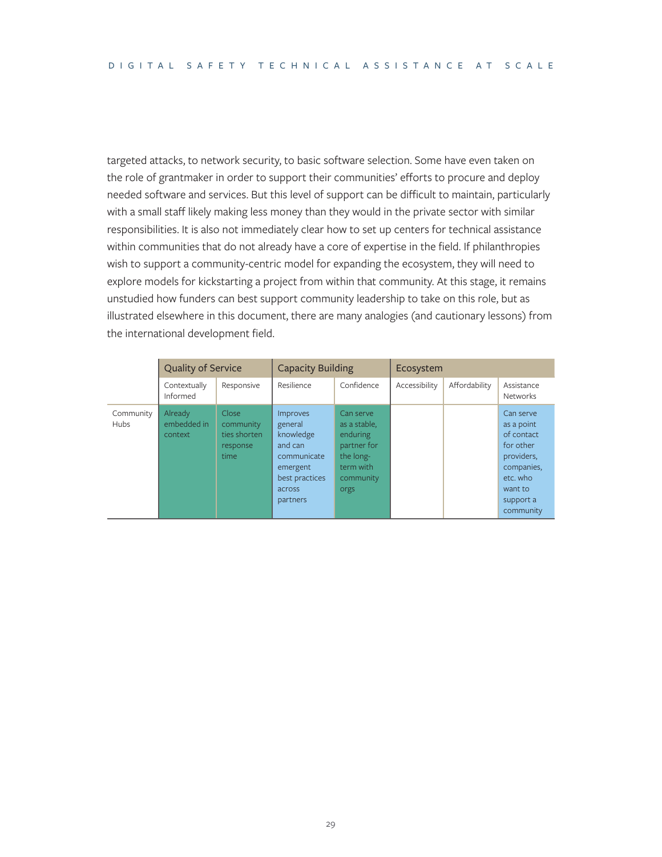targeted attacks, to network security, to basic software selection. Some have even taken on the role of grantmaker in order to support their communities' efforts to procure and deploy needed software and services. But this level of support can be difficult to maintain, particularly with a small staff likely making less money than they would in the private sector with similar responsibilities. It is also not immediately clear how to set up centers for technical assistance within communities that do not already have a core of expertise in the field. If philanthropies wish to support a community-centric model for expanding the ecosystem, they will need to explore models for kickstarting a project from within that community. At this stage, it remains unstudied how funders can best support community leadership to take on this role, but as illustrated elsewhere in this document, there are many analogies (and cautionary lessons) from the international development field.

|                          | Quality of Service                |                                                        | Capacity Building                                                                                              |                                                                                                     | Ecosystem     |               |                                                                                                                                 |  |
|--------------------------|-----------------------------------|--------------------------------------------------------|----------------------------------------------------------------------------------------------------------------|-----------------------------------------------------------------------------------------------------|---------------|---------------|---------------------------------------------------------------------------------------------------------------------------------|--|
|                          | Contextually<br>Informed          | Responsive                                             | Resilience                                                                                                     | Confidence                                                                                          | Accessibility | Affordability | Assistance<br><b>Networks</b>                                                                                                   |  |
| Community<br><b>Hubs</b> | Already<br>embedded in<br>context | Close<br>community<br>ties shorten<br>response<br>time | Improves<br>general<br>knowledge<br>and can<br>communicate<br>emergent<br>best practices<br>across<br>partners | Can serve<br>as a stable,<br>enduring<br>partner for<br>the long-<br>term with<br>community<br>orgs |               |               | Can serve<br>as a point<br>of contact<br>for other<br>providers,<br>companies,<br>etc. who<br>want to<br>support a<br>community |  |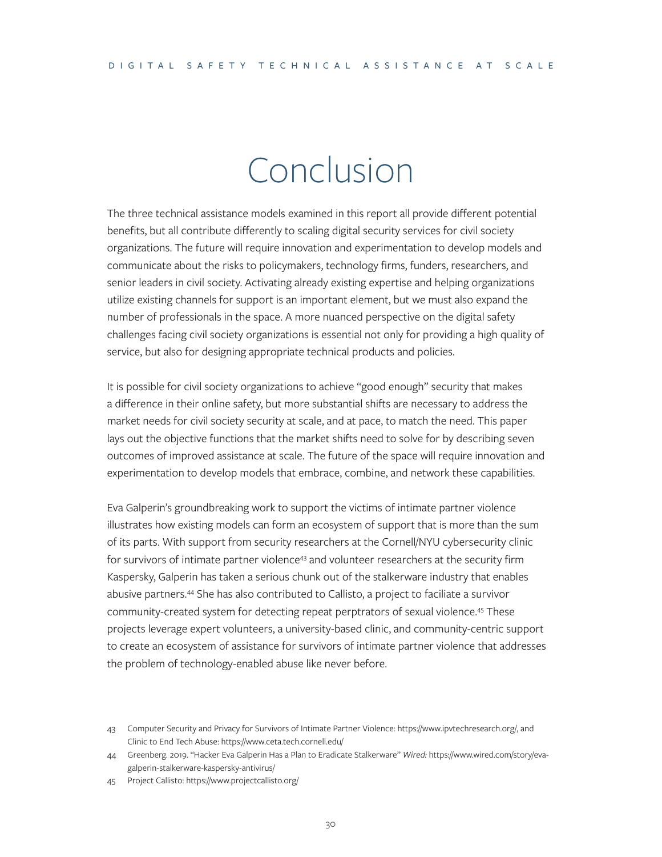### Conclusion

The three technical assistance models examined in this report all provide different potential benefits, but all contribute differently to scaling digital security services for civil society organizations. The future will require innovation and experimentation to develop models and communicate about the risks to policymakers, technology firms, funders, researchers, and senior leaders in civil society. Activating already existing expertise and helping organizations utilize existing channels for support is an important element, but we must also expand the number of professionals in the space. A more nuanced perspective on the digital safety challenges facing civil society organizations is essential not only for providing a high quality of service, but also for designing appropriate technical products and policies.

It is possible for civil society organizations to achieve "good enough" security that makes a difference in their online safety, but more substantial shifts are necessary to address the market needs for civil society security at scale, and at pace, to match the need. This paper lays out the objective functions that the market shifts need to solve for by describing seven outcomes of improved assistance at scale. The future of the space will require innovation and experimentation to develop models that embrace, combine, and network these capabilities.

Eva Galperin's groundbreaking work to support the victims of intimate partner violence illustrates how existing models can form an ecosystem of support that is more than the sum of its parts. With support from security researchers at the Cornell/NYU cybersecurity clinic for survivors of intimate partner violence<sup>43</sup> and volunteer researchers at the security firm Kaspersky, Galperin has taken a serious chunk out of the stalkerware industry that enables abusive partners.44 She has also contributed to Callisto, a project to faciliate a survivor community-created system for detecting repeat perptrators of sexual violence.45 These projects leverage expert volunteers, a university-based clinic, and community-centric support to create an ecosystem of assistance for survivors of intimate partner violence that addresses the problem of technology-enabled abuse like never before.

45 Project Callisto:<https://www.projectcallisto.org/>

<sup>43</sup> Computer Security and Privacy for Survivors of Intimate Partner Violence: <https://www.ipvtechresearch.org/>, and Clinic to End Tech Abuse: <https://www.ceta.tech.cornell.edu/>

<sup>44</sup> Greenberg. 2019. "Hacker Eva Galperin Has a Plan to Eradicate Stalkerware" *Wired:* [https://www.wired.com/story/eva](https://www.wired.com/story/eva-galperin-stalkerware-kaspersky-antivirus/)[galperin-stalkerware-kaspersky-antivirus/](https://www.wired.com/story/eva-galperin-stalkerware-kaspersky-antivirus/)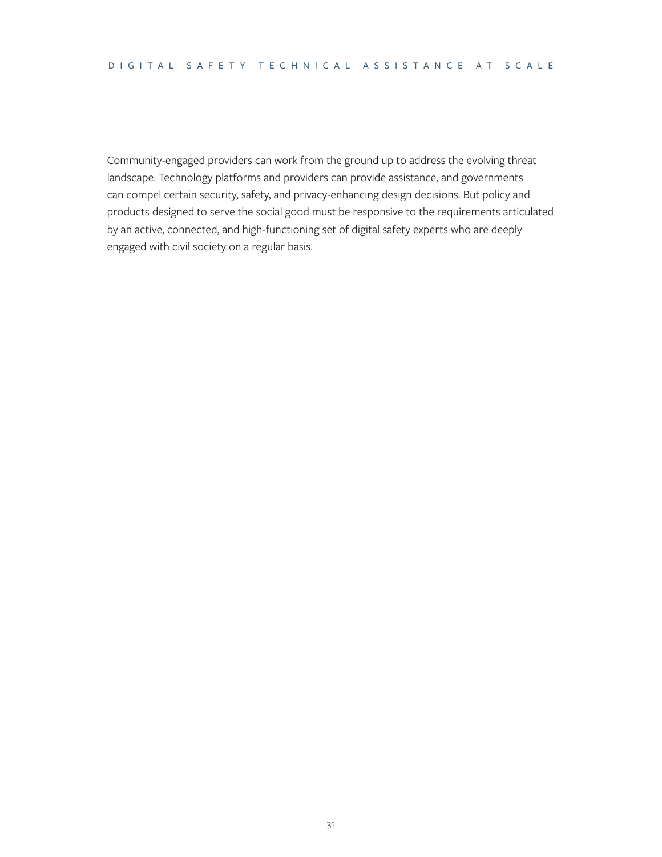Community-engaged providers can work from the ground up to address the evolving threat landscape. Technology platforms and providers can provide assistance, and governments can compel certain security, safety, and privacy-enhancing design decisions. But policy and products designed to serve the social good must be responsive to the requirements articulated by an active, connected, and high-functioning set of digital safety experts who are deeply engaged with civil society on a regular basis.